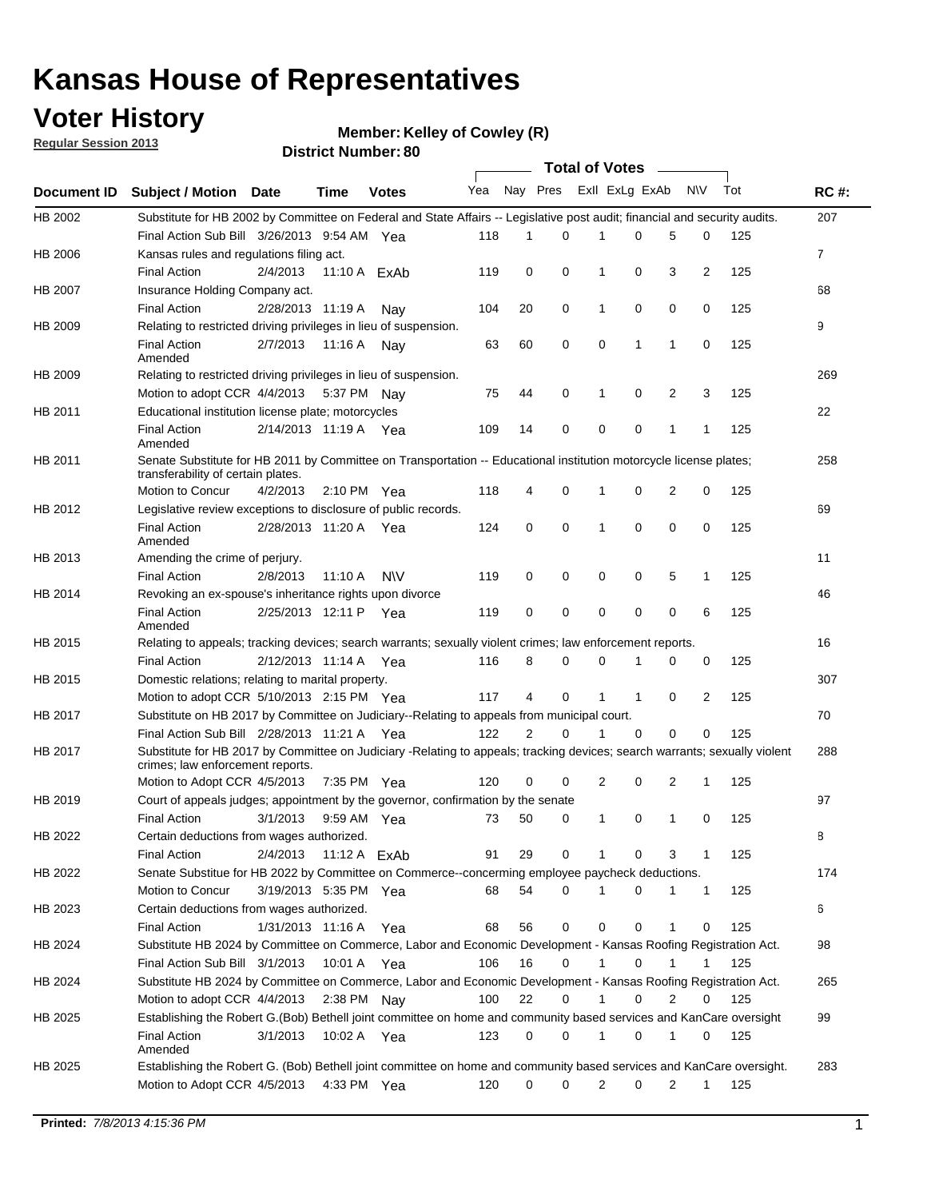## **Voter History**

**Member: Kelley of Cowley (R)** 

**Regular Session 2013**

|                |                                                                                                                                                                |                       | <b>DISTILL MAILINGL.OV</b> |              |     |          |          |                | Total of Votes – |                |                |     |             |
|----------------|----------------------------------------------------------------------------------------------------------------------------------------------------------------|-----------------------|----------------------------|--------------|-----|----------|----------|----------------|------------------|----------------|----------------|-----|-------------|
| Document ID    | <b>Subject / Motion</b>                                                                                                                                        | Date                  | Time                       | <b>Votes</b> | Yea | Nay Pres |          |                | Exll ExLg ExAb   |                | <b>NV</b>      | Tot | <b>RC#:</b> |
| HB 2002        | Substitute for HB 2002 by Committee on Federal and State Affairs -- Legislative post audit; financial and security audits.                                     |                       |                            |              |     |          |          |                |                  |                |                |     | 207         |
|                | Final Action Sub Bill 3/26/2013 9:54 AM Yea                                                                                                                    |                       |                            |              | 118 | 1        | 0        | 1              | 0                | 5              | 0              | 125 |             |
| HB 2006        | Kansas rules and regulations filing act.                                                                                                                       |                       |                            |              |     |          |          |                |                  |                |                |     | 7           |
|                | <b>Final Action</b>                                                                                                                                            | 2/4/2013              | 11:10 A ExAb               |              | 119 | 0        | 0        | 1              | 0                | 3              | $\overline{2}$ | 125 |             |
| HB 2007        | Insurance Holding Company act.                                                                                                                                 |                       |                            |              |     |          |          |                |                  |                |                |     | 68          |
|                | <b>Final Action</b>                                                                                                                                            | 2/28/2013 11:19 A     |                            | Nav          | 104 | 20       | 0        | 1              | 0                | 0              | 0              | 125 |             |
| HB 2009        | Relating to restricted driving privileges in lieu of suspension.                                                                                               |                       |                            |              |     |          |          |                |                  |                |                |     | 9           |
|                | <b>Final Action</b><br>Amended                                                                                                                                 | 2/7/2013              | 11:16 A                    | Nay          | 63  | 60       | 0        | 0              | 1                | 1              | 0              | 125 |             |
| HB 2009        | Relating to restricted driving privileges in lieu of suspension.                                                                                               |                       |                            |              |     |          |          |                |                  |                |                |     | 269         |
|                | Motion to adopt CCR 4/4/2013                                                                                                                                   |                       | 5:37 PM Nav                |              | 75  | 44       | 0        | 1              | 0                | 2              | 3              | 125 |             |
| HB 2011        | Educational institution license plate; motorcycles                                                                                                             |                       |                            |              |     |          |          |                |                  |                |                |     | 22          |
|                | <b>Final Action</b><br>Amended                                                                                                                                 | 2/14/2013 11:19 A Yea |                            |              | 109 | 14       | 0        | 0              | 0                | 1              | 1              | 125 |             |
| HB 2011        | Senate Substitute for HB 2011 by Committee on Transportation -- Educational institution motorcycle license plates;                                             |                       |                            |              |     |          |          |                |                  |                |                |     | 258         |
|                | transferability of certain plates.                                                                                                                             |                       |                            |              |     |          |          |                |                  |                |                |     |             |
|                | Motion to Concur                                                                                                                                               | 4/2/2013              | $2:10 \text{ PM}$ Yea      |              | 118 | 4        | 0        | 1              | 0                | $\overline{2}$ | 0              | 125 |             |
| HB 2012        | Legislative review exceptions to disclosure of public records.                                                                                                 |                       |                            |              |     |          |          |                |                  |                |                |     | 69          |
|                | <b>Final Action</b><br>Amended                                                                                                                                 | 2/28/2013 11:20 A Yea |                            |              | 124 | 0        | 0        | 1              | 0                | $\mathbf 0$    | $\mathbf 0$    | 125 |             |
| HB 2013        | Amending the crime of perjury.                                                                                                                                 |                       |                            |              |     |          |          |                |                  |                |                |     | 11          |
|                | <b>Final Action</b>                                                                                                                                            | 2/8/2013              | 11:10 A                    | <b>NV</b>    | 119 | 0        | 0        | 0              | 0                | 5              | $\mathbf{1}$   | 125 |             |
| HB 2014        | Revoking an ex-spouse's inheritance rights upon divorce                                                                                                        |                       |                            |              |     |          |          |                |                  |                |                |     | 46          |
|                | <b>Final Action</b><br>Amended                                                                                                                                 | 2/25/2013 12:11 P     |                            | Yea          | 119 | 0        | 0        | 0              | 0                | 0              | 6              | 125 |             |
| HB 2015        | Relating to appeals; tracking devices; search warrants; sexually violent crimes; law enforcement reports.                                                      |                       |                            |              |     |          |          |                |                  |                |                |     | 16          |
|                | <b>Final Action</b>                                                                                                                                            | 2/12/2013 11:14 A     |                            | Yea          | 116 | 8        | 0        | 0              |                  | 0              | 0              | 125 |             |
| HB 2015        | Domestic relations; relating to marital property.                                                                                                              |                       |                            |              |     |          |          |                |                  |                |                |     | 307         |
|                | Motion to adopt CCR 5/10/2013 2:15 PM Yea                                                                                                                      |                       |                            |              | 117 | 4        | 0        | 1              | $\mathbf{1}$     | 0              | 2              | 125 |             |
| HB 2017        | Substitute on HB 2017 by Committee on Judiciary--Relating to appeals from municipal court.                                                                     |                       |                            |              |     |          |          |                |                  |                |                |     | 70          |
|                | Final Action Sub Bill 2/28/2013 11:21 A Yea                                                                                                                    |                       |                            |              | 122 | 2        | $\Omega$ | 1              | 0                | 0              | 0              | 125 |             |
| <b>HB 2017</b> | Substitute for HB 2017 by Committee on Judiciary -Relating to appeals; tracking devices; search warrants; sexually violent<br>crimes; law enforcement reports. |                       |                            |              |     |          |          |                |                  |                |                |     | 288         |
|                | Motion to Adopt CCR 4/5/2013                                                                                                                                   |                       | 7:35 PM Yea                |              | 120 | 0        | 0        | 2              | 0                | 2              | $\mathbf{1}$   | 125 |             |
| HB 2019        | Court of appeals judges; appointment by the governor, confirmation by the senate                                                                               |                       |                            |              |     |          |          |                |                  |                |                |     | 97          |
|                | <b>Final Action</b>                                                                                                                                            | 3/1/2013              | 9:59 AM Yea                |              | 73  | 50       | 0        | $\mathbf 1$    | 0                | $\mathbf{1}$   | 0              | 125 |             |
| HB 2022        | Certain deductions from wages authorized.                                                                                                                      |                       |                            |              |     |          |          |                |                  |                |                |     | В           |
|                | <b>Final Action</b>                                                                                                                                            | 2/4/2013              | 11:12 A ExAb               |              | 91  | 29       | 0        | 1              | 0                | 3              | 1              | 125 |             |
| HB 2022        | Senate Substitue for HB 2022 by Committee on Commerce--concerming employee paycheck deductions.                                                                |                       |                            |              |     |          |          |                |                  |                |                |     | 174         |
|                | Motion to Concur                                                                                                                                               | 3/19/2013 5:35 PM Yea |                            |              | 68  | 54       | 0        | 1              | 0                | 1              | $\mathbf{1}$   | 125 |             |
| HB 2023        | Certain deductions from wages authorized.                                                                                                                      |                       |                            |              |     |          |          |                |                  |                |                |     | 6           |
|                | <b>Final Action</b>                                                                                                                                            | 1/31/2013 11:16 A Yea |                            |              | 68  | 56       | 0        | 0              | 0                | 1              | 0              | 125 |             |
| HB 2024        | Substitute HB 2024 by Committee on Commerce, Labor and Economic Development - Kansas Roofing Registration Act.                                                 |                       |                            |              |     |          |          |                |                  |                |                |     | 98          |
|                | Final Action Sub Bill 3/1/2013                                                                                                                                 |                       | 10:01 A Yea                |              | 106 | 16       | 0        | 1              | 0                | 1              | 1              | 125 |             |
| HB 2024        | Substitute HB 2024 by Committee on Commerce, Labor and Economic Development - Kansas Roofing Registration Act.                                                 |                       |                            |              |     |          |          |                |                  |                |                |     | 265         |
|                | Motion to adopt CCR 4/4/2013                                                                                                                                   |                       | 2:38 PM Nay                |              | 100 | 22       | 0        | 1              | 0                | 2              | 0              | 125 |             |
| HB 2025        | Establishing the Robert G. (Bob) Bethell joint committee on home and community based services and KanCare oversight                                            |                       |                            |              |     |          |          |                |                  |                |                |     | 99          |
|                | <b>Final Action</b><br>Amended                                                                                                                                 | 3/1/2013              | 10:02 A Yea                |              | 123 | 0        | 0        | 1              | 0                | 1              | 0              | 125 |             |
| HB 2025        | Establishing the Robert G. (Bob) Bethell joint committee on home and community based services and KanCare oversight.                                           |                       |                            |              |     |          |          |                |                  |                |                |     | 283         |
|                | Motion to Adopt CCR 4/5/2013                                                                                                                                   |                       | 4:33 PM Yea                |              | 120 | 0        | 0        | $\overline{2}$ | 0                | $\overline{c}$ | $\mathbf{1}$   | 125 |             |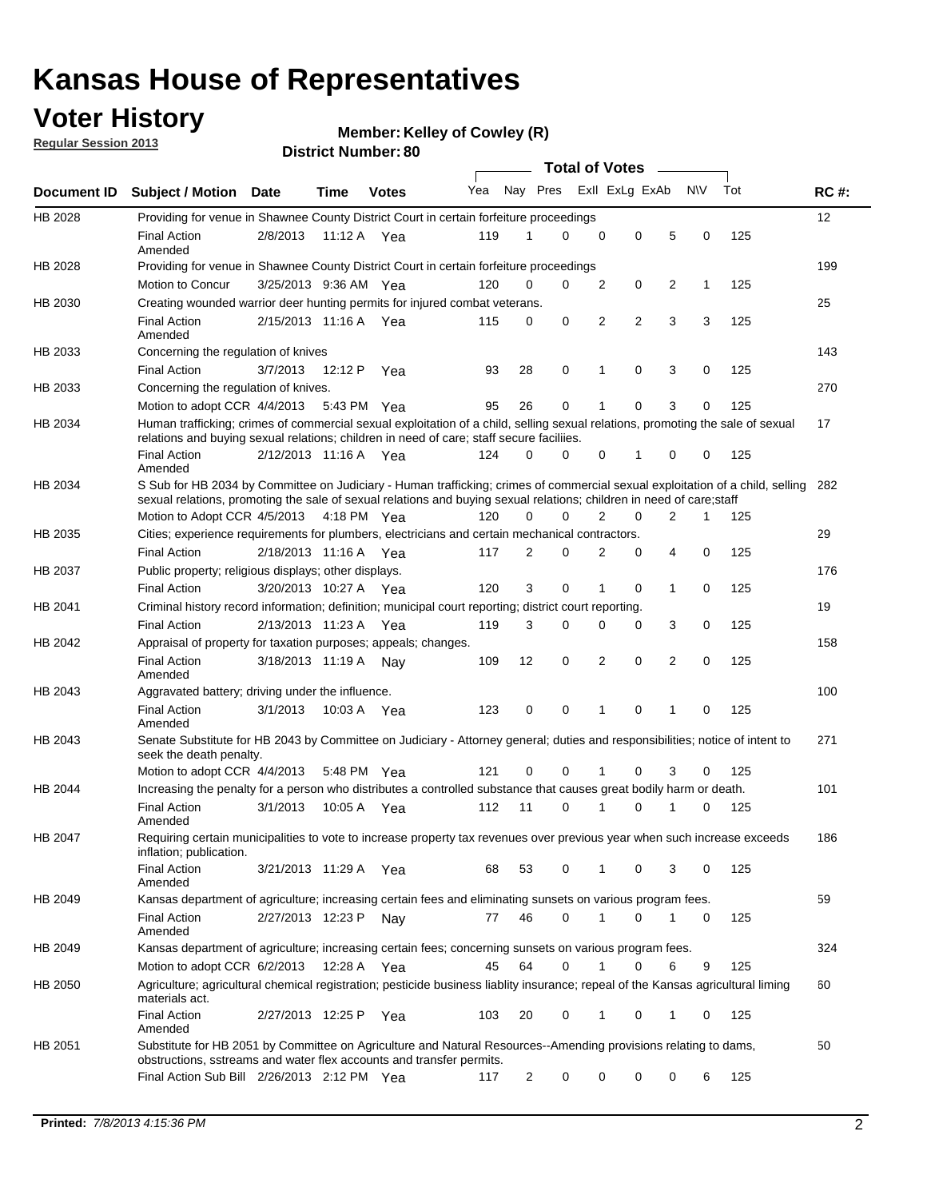## **Voter History**

**Member: Kelley of Cowley (R)** 

**Regular Session 2013**

|                    |                                                                                                                                                                                                                                                       |                       |             |              |     |                         | <b>Total of Votes</b> |                |   |                |           |     |             |
|--------------------|-------------------------------------------------------------------------------------------------------------------------------------------------------------------------------------------------------------------------------------------------------|-----------------------|-------------|--------------|-----|-------------------------|-----------------------|----------------|---|----------------|-----------|-----|-------------|
| <b>Document ID</b> | <b>Subject / Motion Date</b>                                                                                                                                                                                                                          |                       | Time        | <b>Votes</b> | Yea | Nay Pres Exll ExLg ExAb |                       |                |   |                | <b>NV</b> | Tot | <b>RC#:</b> |
| HB 2028            | Providing for venue in Shawnee County District Court in certain forfeiture proceedings                                                                                                                                                                |                       |             |              |     |                         |                       |                |   |                |           |     | 12          |
|                    | <b>Final Action</b><br>Amended                                                                                                                                                                                                                        | 2/8/2013              | 11:12 A     | Yea          | 119 | 1                       | 0                     | 0              | 0 | 5              | 0         | 125 |             |
| HB 2028            | Providing for venue in Shawnee County District Court in certain forfeiture proceedings                                                                                                                                                                |                       |             |              |     |                         |                       |                |   |                |           |     | 199         |
|                    | Motion to Concur                                                                                                                                                                                                                                      | 3/25/2013 9:36 AM Yea |             |              | 120 | 0                       | 0                     | 2              | 0 | 2              | 1         | 125 |             |
| HB 2030            | Creating wounded warrior deer hunting permits for injured combat veterans.                                                                                                                                                                            |                       |             |              |     |                         |                       |                |   |                |           |     | 25          |
|                    | <b>Final Action</b><br>Amended                                                                                                                                                                                                                        | 2/15/2013 11:16 A Yea |             |              | 115 | 0                       | 0                     | 2              | 2 | 3              | 3         | 125 |             |
| HB 2033            | Concerning the regulation of knives                                                                                                                                                                                                                   |                       |             |              |     |                         |                       |                |   |                |           |     | 143         |
|                    | <b>Final Action</b>                                                                                                                                                                                                                                   | 3/7/2013              | 12:12 P     | Yea          | 93  | 28                      | 0                     | 1              | 0 | 3              | 0         | 125 |             |
| HB 2033            | Concerning the regulation of knives.                                                                                                                                                                                                                  |                       |             |              |     |                         |                       |                |   |                |           |     | 270         |
|                    | Motion to adopt CCR 4/4/2013                                                                                                                                                                                                                          |                       | 5:43 PM Yea |              | 95  | 26                      | 0                     |                | 0 | 3              | 0         | 125 |             |
| HB 2034            | Human trafficking; crimes of commercial sexual exploitation of a child, selling sexual relations, promoting the sale of sexual<br>relations and buying sexual relations; children in need of care; staff secure faciliies.                            |                       |             |              |     |                         |                       |                |   |                |           |     | 17          |
|                    | <b>Final Action</b><br>Amended                                                                                                                                                                                                                        | 2/12/2013 11:16 A Yea |             |              | 124 | 0                       | 0                     | 0              | 1 | 0              | 0         | 125 |             |
| HB 2034            | S Sub for HB 2034 by Committee on Judiciary - Human trafficking; crimes of commercial sexual exploitation of a child, selling<br>sexual relations, promoting the sale of sexual relations and buying sexual relations; children in need of care;staff |                       |             |              |     |                         |                       |                |   |                |           |     | 282         |
|                    | Motion to Adopt CCR 4/5/2013 4:18 PM Yea                                                                                                                                                                                                              |                       |             |              | 120 | 0                       | 0                     | $\overline{2}$ | 0 | $\overline{2}$ | 1         | 125 |             |
| HB 2035            | Cities; experience requirements for plumbers, electricians and certain mechanical contractors.                                                                                                                                                        |                       |             |              |     |                         |                       |                |   |                |           |     | 29          |
|                    | <b>Final Action</b>                                                                                                                                                                                                                                   | 2/18/2013 11:16 A     |             | Yea          | 117 | 2                       | 0                     | 2              | 0 | 4              | 0         | 125 |             |
| HB 2037            | Public property; religious displays; other displays.                                                                                                                                                                                                  |                       |             |              |     |                         |                       |                |   |                |           |     | 176         |
|                    | <b>Final Action</b>                                                                                                                                                                                                                                   | 3/20/2013 10:27 A     |             | Yea          | 120 | 3                       | 0                     |                | 0 | 1              | 0         | 125 |             |
| HB 2041            | Criminal history record information; definition; municipal court reporting; district court reporting.                                                                                                                                                 |                       |             |              |     |                         |                       |                |   |                |           |     | 19          |
|                    | <b>Final Action</b>                                                                                                                                                                                                                                   | 2/13/2013 11:23 A     |             | Yea          | 119 | 3                       | 0                     | $\Omega$       | 0 | 3              | 0         | 125 |             |
| HB 2042            | Appraisal of property for taxation purposes; appeals; changes.                                                                                                                                                                                        |                       |             |              |     |                         |                       |                |   |                |           |     | 158         |
|                    | <b>Final Action</b><br>Amended                                                                                                                                                                                                                        | 3/18/2013 11:19 A     |             | Nay          | 109 | 12                      | 0                     | 2              | 0 | 2              | 0         | 125 |             |
| HB 2043            | Aggravated battery; driving under the influence.                                                                                                                                                                                                      |                       |             |              |     |                         |                       |                |   |                |           |     | 100         |
|                    | <b>Final Action</b><br>Amended                                                                                                                                                                                                                        | 3/1/2013              |             | 10:03 A Yea  | 123 | 0                       | 0                     | 1              | 0 | 1              | 0         | 125 |             |
| HB 2043            | Senate Substitute for HB 2043 by Committee on Judiciary - Attorney general; duties and responsibilities; notice of intent to<br>seek the death penalty.                                                                                               |                       |             |              |     |                         |                       |                |   |                |           |     | 271         |
|                    | Motion to adopt CCR 4/4/2013                                                                                                                                                                                                                          |                       |             | 5:48 PM Yea  | 121 | 0                       | 0                     | 1              | 0 | 3              | 0         | 125 |             |
| HB 2044            | Increasing the penalty for a person who distributes a controlled substance that causes great bodily harm or death.                                                                                                                                    |                       |             |              |     |                         |                       |                |   |                |           |     | 101         |
|                    | <b>Final Action</b><br>Amended                                                                                                                                                                                                                        | 3/1/2013              | 10:05 A     | Yea          | 112 | 11                      | 0                     | 1              | 0 | 1              | 0         | 125 |             |
| HB 2047            | Requiring certain municipalities to vote to increase property tax revenues over previous year when such increase exceeds<br>inflation; publication.                                                                                                   |                       |             |              |     |                         |                       |                |   |                |           |     | 186         |
|                    | <b>Final Action</b><br>Amended                                                                                                                                                                                                                        | 3/21/2013 11:29 A Yea |             |              | 68  | 53                      | 0                     | 1              | 0 | 3              | 0         | 125 |             |
| HB 2049            | Kansas department of agriculture; increasing certain fees and eliminating sunsets on various program fees.                                                                                                                                            |                       |             |              |     |                         |                       |                |   |                |           |     | 59          |
|                    | <b>Final Action</b><br>Amended                                                                                                                                                                                                                        | 2/27/2013 12:23 P     |             | Nay          | 77  | 46                      | 0                     | 1              | 0 | 1              | 0         | 125 |             |
| HB 2049            | Kansas department of agriculture; increasing certain fees; concerning sunsets on various program fees.                                                                                                                                                |                       |             |              |     |                         |                       |                |   |                |           |     | 324         |
|                    | Motion to adopt CCR 6/2/2013                                                                                                                                                                                                                          |                       | 12:28 A     | Yea          | 45  | 64                      | 0                     | 1              | 0 | 6              | 9         | 125 |             |
| HB 2050            | Agriculture; agricultural chemical registration; pesticide business liablity insurance; repeal of the Kansas agricultural liming<br>materials act.                                                                                                    |                       |             |              |     |                         |                       |                |   |                |           |     | 60          |
|                    | <b>Final Action</b><br>Amended                                                                                                                                                                                                                        | 2/27/2013 12:25 P     |             | Yea          | 103 | 20                      | 0                     |                | 0 | 1              | 0         | 125 |             |
| HB 2051            | Substitute for HB 2051 by Committee on Agriculture and Natural Resources--Amending provisions relating to dams,<br>obstructions, sstreams and water flex accounts and transfer permits.                                                               |                       |             |              |     |                         |                       |                |   |                |           |     | 50          |
|                    | Final Action Sub Bill 2/26/2013 2:12 PM Yea                                                                                                                                                                                                           |                       |             |              | 117 | $\overline{c}$          | 0                     | $\Omega$       | 0 | 0              | 6         | 125 |             |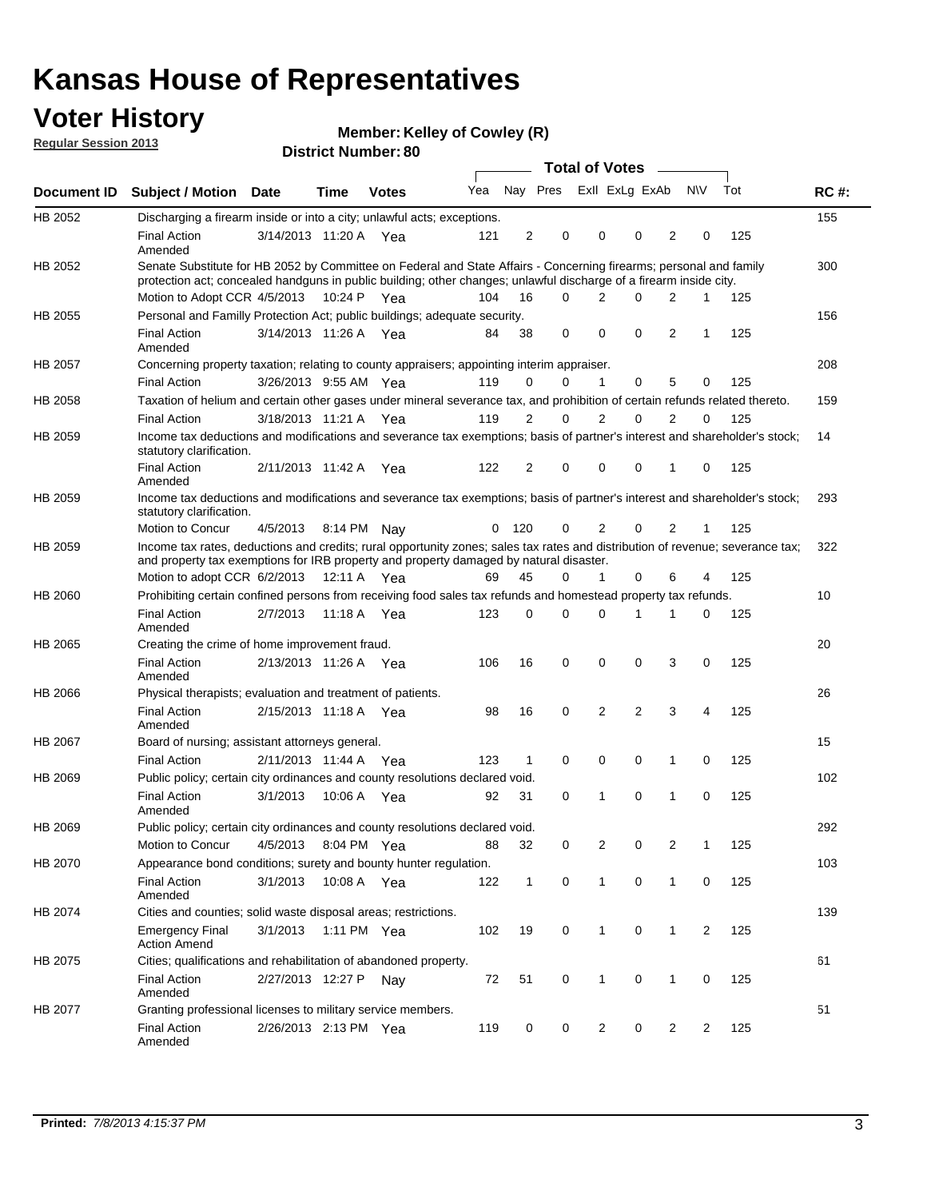## **Voter History**

**Member: Kelley of Cowley (R)** 

**Regular Session 2013**

|             |                                                                                                                                                                                                                                          |                       |             |              |     |              |                         | <b>Total of Votes</b> |                |                | $\frac{1}{2}$  |                |     |             |
|-------------|------------------------------------------------------------------------------------------------------------------------------------------------------------------------------------------------------------------------------------------|-----------------------|-------------|--------------|-----|--------------|-------------------------|-----------------------|----------------|----------------|----------------|----------------|-----|-------------|
| Document ID | <b>Subject / Motion Date</b>                                                                                                                                                                                                             |                       | Time        | <b>Votes</b> | Yea |              | Nay Pres Exll ExLg ExAb |                       |                |                |                | <b>NV</b>      | Tot | <b>RC#:</b> |
| HB 2052     | Discharging a firearm inside or into a city; unlawful acts; exceptions.                                                                                                                                                                  |                       |             |              |     |              |                         |                       |                |                |                |                |     | 155         |
|             | <b>Final Action</b><br>Amended                                                                                                                                                                                                           | 3/14/2013 11:20 A Yea |             |              | 121 | 2            | 0                       |                       | 0              | 0              | 2              | 0              | 125 |             |
| HB 2052     | Senate Substitute for HB 2052 by Committee on Federal and State Affairs - Concerning firearms; personal and family<br>protection act; concealed handguns in public building; other changes; unlawful discharge of a firearm inside city. |                       |             |              |     |              |                         |                       |                |                |                |                |     | 300         |
|             | Motion to Adopt CCR 4/5/2013 10:24 P Yea                                                                                                                                                                                                 |                       |             |              | 104 | 16           | $\Omega$                |                       | 2              | 0              | $\overline{2}$ | $\mathbf 1$    | 125 |             |
| HB 2055     | Personal and Familly Protection Act; public buildings; adequate security.                                                                                                                                                                |                       |             |              |     |              |                         |                       |                |                |                |                |     | 156         |
|             | <b>Final Action</b><br>Amended                                                                                                                                                                                                           | 3/14/2013 11:26 A Yea |             |              | 84  | 38           | 0                       |                       | $\mathbf 0$    | 0              | 2              | $\mathbf{1}$   | 125 |             |
| HB 2057     | Concerning property taxation; relating to county appraisers; appointing interim appraiser.                                                                                                                                               |                       |             |              |     |              |                         |                       |                |                |                |                |     | 208         |
|             | <b>Final Action</b>                                                                                                                                                                                                                      | 3/26/2013 9:55 AM Yea |             |              | 119 | 0            | 0                       |                       | $\mathbf{1}$   | 0              | 5              | 0              | 125 |             |
| HB 2058     | Taxation of helium and certain other gases under mineral severance tax, and prohibition of certain refunds related thereto.                                                                                                              |                       |             |              |     |              |                         |                       |                |                |                |                |     | 159         |
|             | <b>Final Action</b>                                                                                                                                                                                                                      | 3/18/2013 11:21 A Yea |             |              | 119 | 2            | 0                       |                       | 2              | $\Omega$       | $\overline{2}$ | $\Omega$       | 125 |             |
| HB 2059     | Income tax deductions and modifications and severance tax exemptions; basis of partner's interest and shareholder's stock;<br>statutory clarification.                                                                                   |                       |             |              |     |              |                         |                       |                |                |                |                |     | 14          |
|             | <b>Final Action</b><br>Amended                                                                                                                                                                                                           | 2/11/2013 11:42 A     |             | Yea          | 122 | 2            | 0                       |                       | 0              | 0              | 1              | 0              | 125 |             |
| HB 2059     | Income tax deductions and modifications and severance tax exemptions; basis of partner's interest and shareholder's stock;<br>statutory clarification.                                                                                   |                       |             |              |     |              |                         |                       |                |                |                |                |     | 293         |
|             | Motion to Concur                                                                                                                                                                                                                         | 4/5/2013              | 8:14 PM     | Nav          | 0   | 120          | 0                       |                       | 2              | 0              | 2              | 1              | 125 |             |
| HB 2059     | Income tax rates, deductions and credits; rural opportunity zones; sales tax rates and distribution of revenue; severance tax;<br>and property tax exemptions for IRB property and property damaged by natural disaster.                 |                       |             |              |     |              |                         |                       |                |                |                |                |     | 322         |
|             | Motion to adopt CCR 6/2/2013                                                                                                                                                                                                             |                       | 12:11 A     | Yea          | 69  | 45           | 0                       |                       | 1              | 0              | 6              | 4              | 125 |             |
| HB 2060     | Prohibiting certain confined persons from receiving food sales tax refunds and homestead property tax refunds.                                                                                                                           |                       |             |              |     |              |                         |                       |                |                |                |                |     | 10          |
|             | <b>Final Action</b><br>Amended                                                                                                                                                                                                           | 2/7/2013              | 11:18 A     | Yea          | 123 | 0            | 0                       |                       | $\Omega$       | 1              | 1              | 0              | 125 |             |
| HB 2065     | Creating the crime of home improvement fraud.                                                                                                                                                                                            |                       |             |              |     |              |                         |                       |                |                |                |                |     | 20          |
|             | <b>Final Action</b><br>Amended                                                                                                                                                                                                           | 2/13/2013 11:26 A Yea |             |              | 106 | 16           | $\mathbf 0$             |                       | 0              | 0              | 3              | 0              | 125 |             |
| HB 2066     | Physical therapists; evaluation and treatment of patients.                                                                                                                                                                               |                       |             |              |     |              |                         |                       |                |                |                |                |     | 26          |
|             | <b>Final Action</b><br>Amended                                                                                                                                                                                                           | 2/15/2013 11:18 A Yea |             |              | 98  | 16           | 0                       |                       | 2              | $\overline{2}$ | 3              | 4              | 125 |             |
| HB 2067     | Board of nursing; assistant attorneys general.                                                                                                                                                                                           |                       |             |              |     |              |                         |                       |                |                |                |                |     | 15          |
|             | <b>Final Action</b>                                                                                                                                                                                                                      | 2/11/2013 11:44 A     |             | Yea          | 123 | 1            | $\mathbf 0$             |                       | $\mathbf 0$    | 0              | 1              | 0              | 125 |             |
| HB 2069     | Public policy; certain city ordinances and county resolutions declared void.                                                                                                                                                             |                       |             |              |     |              |                         |                       |                |                |                |                |     | 102         |
|             | <b>Final Action</b><br>Amended                                                                                                                                                                                                           | 3/1/2013              | 10:06 A     | Yea          | 92  | 31           | $\mathbf 0$             |                       | 1              | 0              | 1              | $\mathbf 0$    | 125 |             |
| HB 2069     | Public policy; certain city ordinances and county resolutions declared void.                                                                                                                                                             |                       |             |              |     |              |                         |                       |                |                |                |                |     | 292         |
|             | Motion to Concur                                                                                                                                                                                                                         | 4/5/2013              | 8:04 PM Yea |              | 88  | 32           | 0                       |                       | $\overline{2}$ | 0              | $\overline{2}$ | 1              | 125 |             |
| HB 2070     | Appearance bond conditions; surety and bounty hunter regulation.                                                                                                                                                                         |                       |             |              |     |              |                         |                       |                |                |                |                |     | 103         |
|             | <b>Final Action</b><br>Amended                                                                                                                                                                                                           | 3/1/2013              |             | 10:08 A Yea  | 122 | $\mathbf{1}$ | $\mathbf 0$             |                       | $\mathbf{1}$   | 0              | $\mathbf{1}$   | 0              | 125 |             |
| HB 2074     | Cities and counties; solid waste disposal areas; restrictions.                                                                                                                                                                           |                       |             |              |     |              |                         |                       |                |                |                |                |     | 139         |
|             | <b>Emergency Final</b><br><b>Action Amend</b>                                                                                                                                                                                            | 3/1/2013              |             | 1:11 PM Yea  | 102 | 19           | 0                       |                       | $\mathbf{1}$   | 0              | 1              | $\overline{2}$ | 125 |             |
| HB 2075     | Cities; qualifications and rehabilitation of abandoned property.                                                                                                                                                                         |                       |             |              |     |              |                         |                       |                |                |                |                |     | 61          |
|             | <b>Final Action</b><br>Amended                                                                                                                                                                                                           | 2/27/2013 12:27 P     |             | Nay          | 72  | 51           | 0                       |                       | 1              | 0              | 1              | 0              | 125 |             |
| HB 2077     | Granting professional licenses to military service members.<br><b>Final Action</b><br>Amended                                                                                                                                            | 2/26/2013 2:13 PM Yea |             |              | 119 | 0            | 0                       |                       | $\overline{2}$ | 0              | $\overline{2}$ | 2              | 125 | 51          |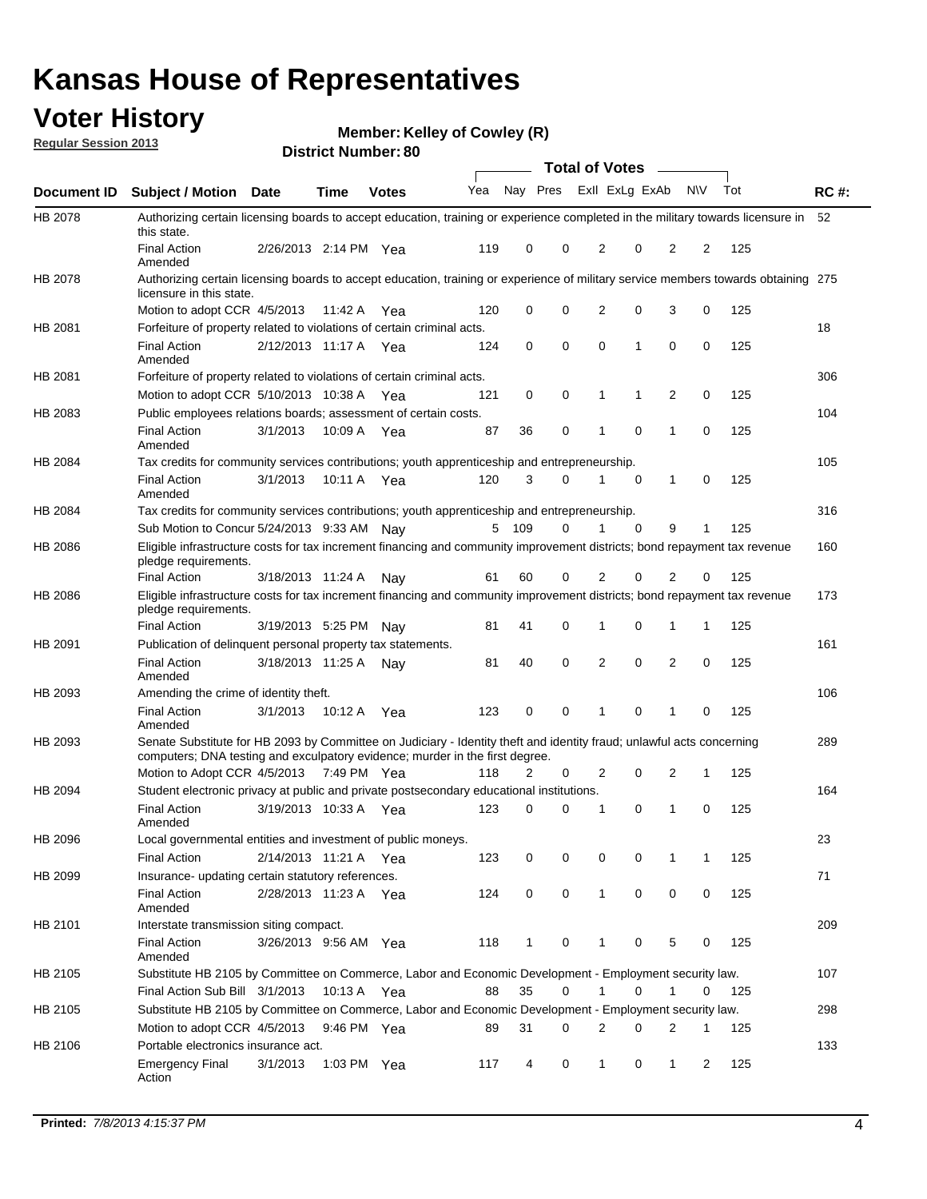## **Voter History**

**Member: Kelley of Cowley (R)** 

**Regular Session 2013**

|                    |                                                                                                                                                                                                       |                       |             | <b>DISUILLINUIIIDEL.OU</b> |     |              |          | Total of Votes – |             |                |           |     |             |
|--------------------|-------------------------------------------------------------------------------------------------------------------------------------------------------------------------------------------------------|-----------------------|-------------|----------------------------|-----|--------------|----------|------------------|-------------|----------------|-----------|-----|-------------|
| <b>Document ID</b> | <b>Subject / Motion</b>                                                                                                                                                                               | <b>Date</b>           | Time        | <b>Votes</b>               | Yea | Nay Pres     |          | Exll ExLg ExAb   |             |                | <b>NV</b> | Tot | <b>RC#:</b> |
| <b>HB 2078</b>     | Authorizing certain licensing boards to accept education, training or experience completed in the military towards licensure in                                                                       |                       |             |                            |     |              |          |                  |             |                |           |     | 52          |
|                    | this state.<br><b>Final Action</b><br>Amended                                                                                                                                                         | 2/26/2013 2:14 PM Yea |             |                            | 119 | 0            | 0        | 2                | 0           | 2              | 2         | 125 |             |
| HB 2078            | Authorizing certain licensing boards to accept education, training or experience of military service members towards obtaining 275<br>licensure in this state.                                        |                       |             |                            |     |              |          |                  |             |                |           |     |             |
|                    | Motion to adopt CCR 4/5/2013                                                                                                                                                                          |                       | 11:42 A     | Yea                        | 120 | 0            | 0        | 2                | 0           | 3              | 0         | 125 |             |
| HB 2081            | Forfeiture of property related to violations of certain criminal acts.                                                                                                                                |                       |             |                            |     |              |          |                  |             |                |           |     | 18          |
|                    | <b>Final Action</b><br>Amended                                                                                                                                                                        | 2/12/2013 11:17 A Yea |             |                            | 124 | 0            | 0        | 0                | 1           | 0              | 0         | 125 |             |
| HB 2081            | Forfeiture of property related to violations of certain criminal acts.                                                                                                                                |                       |             |                            |     |              |          |                  |             |                |           |     | 306         |
|                    | Motion to adopt CCR 5/10/2013 10:38 A                                                                                                                                                                 |                       |             | Yea                        | 121 | 0            | 0        | 1                | 1           | 2              | 0         | 125 |             |
| HB 2083            | Public employees relations boards; assessment of certain costs.                                                                                                                                       |                       |             |                            |     |              |          |                  |             |                |           |     | 104         |
|                    | <b>Final Action</b><br>Amended                                                                                                                                                                        | 3/1/2013              | 10:09 A     | Yea                        | 87  | 36           | 0        | 1                | 0           | 1              | 0         | 125 |             |
| HB 2084            | Tax credits for community services contributions; youth apprenticeship and entrepreneurship.                                                                                                          |                       |             |                            |     |              |          |                  |             |                |           |     | 105         |
|                    | <b>Final Action</b><br>Amended                                                                                                                                                                        | 3/1/2013              | 10:11 A Yea |                            | 120 | 3            | $\Omega$ | 1                | $\mathbf 0$ | 1              | 0         | 125 |             |
| HB 2084            | Tax credits for community services contributions; youth apprenticeship and entrepreneurship.                                                                                                          |                       |             |                            |     |              |          |                  |             |                |           |     | 316         |
|                    | Sub Motion to Concur 5/24/2013 9:33 AM Nav                                                                                                                                                            |                       |             |                            | 5   | 109          | 0        |                  | $\Omega$    | 9              | 1         | 125 |             |
| HB 2086            | Eligible infrastructure costs for tax increment financing and community improvement districts; bond repayment tax revenue<br>pledge requirements.                                                     |                       |             |                            |     |              |          |                  |             |                |           |     | 160         |
|                    | Final Action                                                                                                                                                                                          | 3/18/2013 11:24 A     |             | Nav                        | 61  | 60           | 0        | 2                | 0           | 2              | 0         | 125 |             |
| HB 2086            | Eligible infrastructure costs for tax increment financing and community improvement districts; bond repayment tax revenue<br>pledge requirements.                                                     |                       |             |                            |     |              |          |                  |             |                |           |     | 173         |
|                    | <b>Final Action</b>                                                                                                                                                                                   | 3/19/2013 5:25 PM     |             | Nav                        | 81  | 41           | 0        | 1                | 0           | 1              | 1         | 125 |             |
| HB 2091            | Publication of delinquent personal property tax statements.                                                                                                                                           |                       |             |                            |     |              |          |                  |             |                |           |     | 161         |
|                    | <b>Final Action</b><br>Amended                                                                                                                                                                        | 3/18/2013 11:25 A     |             | Nay                        | 81  | 40           | $\Omega$ | 2                | 0           | $\overline{2}$ | 0         | 125 |             |
| HB 2093            | Amending the crime of identity theft.                                                                                                                                                                 |                       |             |                            |     |              |          |                  |             |                |           |     | 106         |
|                    | <b>Final Action</b><br>Amended                                                                                                                                                                        | 3/1/2013              | 10:12 A     | Yea                        | 123 | 0            | 0        | 1                | 0           | 1              | 0         | 125 |             |
| HB 2093            | Senate Substitute for HB 2093 by Committee on Judiciary - Identity theft and identity fraud; unlawful acts concerning<br>computers; DNA testing and exculpatory evidence; murder in the first degree. |                       |             |                            |     |              |          |                  |             |                |           |     | 289         |
|                    | Motion to Adopt CCR 4/5/2013 7:49 PM Yea                                                                                                                                                              |                       |             |                            | 118 | 2            | 0        | 2                | 0           | 2              | 1         | 125 |             |
| HB 2094            | Student electronic privacy at public and private postsecondary educational institutions.                                                                                                              |                       |             |                            |     |              |          |                  |             |                |           |     | 164         |
|                    | <b>Final Action</b><br>Amended                                                                                                                                                                        | 3/19/2013 10:33 A     |             | Yea                        | 123 | 0            | 0        | 1                | 0           | 1              | 0         | 125 |             |
| HB 2096            | Local governmental entities and investment of public moneys.                                                                                                                                          |                       |             |                            |     |              |          |                  |             |                |           |     | 23          |
|                    | <b>Final Action</b>                                                                                                                                                                                   | 2/14/2013 11:21 A     |             | Yea                        | 123 | 0            | 0        | 0                | 0           | 1              | 1         | 125 |             |
| HB 2099            | Insurance- updating certain statutory references.                                                                                                                                                     |                       |             |                            |     |              |          |                  |             |                |           |     | 71          |
|                    | <b>Final Action</b><br>Amended                                                                                                                                                                        | 2/28/2013 11:23 A     |             | Yea                        | 124 | 0            | 0        | $\mathbf{1}$     | 0           | 0              | 0         | 125 |             |
| HB 2101            | Interstate transmission siting compact.                                                                                                                                                               |                       |             |                            |     |              |          |                  |             |                |           |     | 209         |
|                    | Final Action<br>Amended                                                                                                                                                                               | 3/26/2013 9:56 AM Yea |             |                            | 118 | $\mathbf{1}$ | 0        | 1                | 0           | 5              | 0         | 125 |             |
| HB 2105            | Substitute HB 2105 by Committee on Commerce, Labor and Economic Development - Employment security law.                                                                                                |                       |             |                            |     |              |          |                  |             |                |           |     | 107         |
|                    | Final Action Sub Bill 3/1/2013                                                                                                                                                                        |                       | 10:13 A Yea |                            | 88  | 35           | 0        | 1                | 0           | 1              | 0         | 125 |             |
| HB 2105            | Substitute HB 2105 by Committee on Commerce, Labor and Economic Development - Employment security law.                                                                                                |                       |             |                            |     |              |          |                  |             |                |           |     | 298         |
|                    | Motion to adopt CCR 4/5/2013                                                                                                                                                                          |                       | 9:46 PM Yea |                            | 89  | 31           | 0        | 2                | 0           | 2              | 1         | 125 |             |
| HB 2106            | Portable electronics insurance act.                                                                                                                                                                   |                       |             |                            |     |              |          |                  |             |                |           |     | 133         |
|                    | <b>Emergency Final</b><br>Action                                                                                                                                                                      | 3/1/2013              | 1:03 PM Yea |                            | 117 | 4            | 0        | $\mathbf{1}$     | 0           | $\mathbf 1$    | 2         | 125 |             |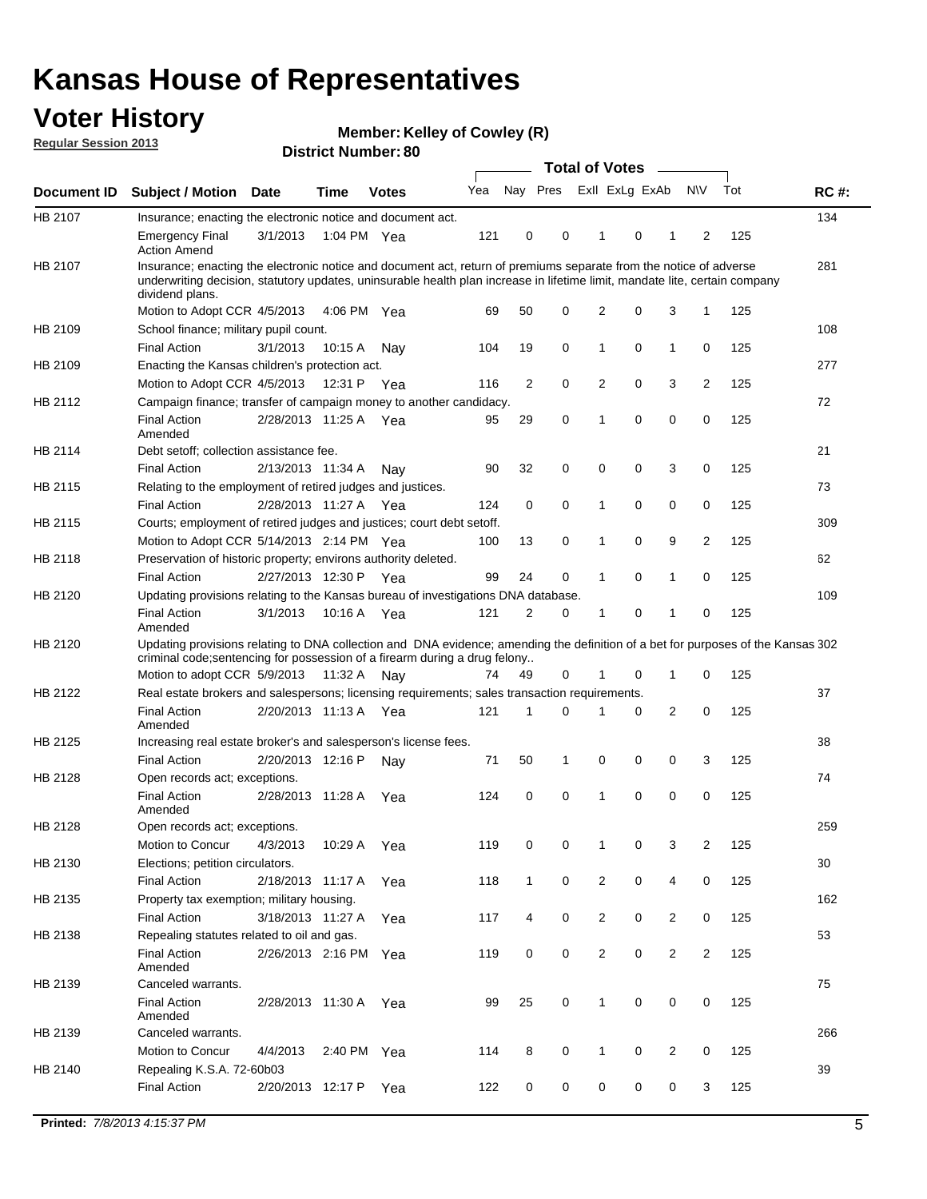## **Voter History**

**Member: Kelley of Cowley (R)** 

**Regular Session 2013**

|                    |                                                                                                                                                                                                                                                                      |                       |             | PISUILLINUIIIDEL.OU |     |                | Total of Votes – |                |          |                |                |     |             |
|--------------------|----------------------------------------------------------------------------------------------------------------------------------------------------------------------------------------------------------------------------------------------------------------------|-----------------------|-------------|---------------------|-----|----------------|------------------|----------------|----------|----------------|----------------|-----|-------------|
| <b>Document ID</b> | <b>Subject / Motion</b>                                                                                                                                                                                                                                              | <b>Date</b>           | <b>Time</b> | <b>Votes</b>        | Yea | Nay Pres       |                  | Exll ExLg ExAb |          |                | <b>NV</b>      | Tot | <b>RC#:</b> |
| HB 2107            | Insurance; enacting the electronic notice and document act.                                                                                                                                                                                                          |                       |             |                     |     |                |                  |                |          |                |                |     | 134         |
|                    | <b>Emergency Final</b><br><b>Action Amend</b>                                                                                                                                                                                                                        | 3/1/2013              |             | 1:04 PM Yea         | 121 | 0              | 0                | $\mathbf 1$    | 0        | 1              | 2              | 125 |             |
| HB 2107            | Insurance; enacting the electronic notice and document act, return of premiums separate from the notice of adverse<br>underwriting decision, statutory updates, uninsurable health plan increase in lifetime limit, mandate lite, certain company<br>dividend plans. |                       |             |                     |     |                |                  |                |          |                |                |     | 281         |
|                    | Motion to Adopt CCR 4/5/2013                                                                                                                                                                                                                                         |                       |             | 4:06 PM Yea         | 69  | 50             | 0                | 2              | 0        | 3              | 1              | 125 |             |
| HB 2109            | School finance; military pupil count.                                                                                                                                                                                                                                |                       |             |                     |     |                |                  |                |          |                |                |     | 108         |
|                    | <b>Final Action</b>                                                                                                                                                                                                                                                  | 3/1/2013              | 10:15 A     | Nay                 | 104 | 19             | 0                | 1              | 0        | $\mathbf{1}$   | 0              | 125 |             |
| HB 2109            | Enacting the Kansas children's protection act.                                                                                                                                                                                                                       |                       |             |                     |     |                |                  |                |          |                |                |     | 277         |
|                    | Motion to Adopt CCR 4/5/2013                                                                                                                                                                                                                                         |                       | 12:31 P     | Yea                 | 116 | 2              | 0                | 2              | 0        | 3              | 2              | 125 |             |
| HB 2112            | Campaign finance; transfer of campaign money to another candidacy.                                                                                                                                                                                                   |                       |             |                     |     |                |                  |                |          |                |                |     | 72          |
|                    | <b>Final Action</b><br>Amended                                                                                                                                                                                                                                       | 2/28/2013 11:25 A Yea |             |                     | 95  | 29             | 0                | 1              | 0        | 0              | 0              | 125 |             |
| HB 2114            | Debt setoff; collection assistance fee.                                                                                                                                                                                                                              |                       |             |                     |     |                |                  |                |          |                |                |     | 21          |
|                    | <b>Final Action</b>                                                                                                                                                                                                                                                  | 2/13/2013 11:34 A     |             | Nay                 | 90  | 32             | 0                | 0              | 0        | 3              | 0              | 125 |             |
| HB 2115            | Relating to the employment of retired judges and justices.                                                                                                                                                                                                           |                       |             |                     |     |                |                  |                |          |                |                |     | 73          |
|                    | <b>Final Action</b>                                                                                                                                                                                                                                                  | 2/28/2013 11:27 A     |             | Yea                 | 124 | 0              | 0                | 1              | 0        | 0              | 0              | 125 |             |
| HB 2115            | Courts; employment of retired judges and justices; court debt setoff.                                                                                                                                                                                                |                       |             |                     |     |                |                  |                |          |                |                |     | 309         |
|                    | Motion to Adopt CCR 5/14/2013 2:14 PM Yea                                                                                                                                                                                                                            |                       |             |                     | 100 | 13             | 0                | 1              | 0        | 9              | $\overline{2}$ | 125 |             |
| HB 2118            | Preservation of historic property; environs authority deleted.                                                                                                                                                                                                       |                       |             |                     |     |                |                  |                |          |                |                |     | 62          |
|                    | <b>Final Action</b>                                                                                                                                                                                                                                                  | 2/27/2013 12:30 P     |             | Yea                 | 99  | 24             | 0                | 1              | 0        | 1              | 0              | 125 |             |
| HB 2120            | Updating provisions relating to the Kansas bureau of investigations DNA database.                                                                                                                                                                                    |                       |             |                     |     |                |                  |                |          |                |                |     | 109         |
|                    | <b>Final Action</b><br>Amended                                                                                                                                                                                                                                       | 3/1/2013              | 10:16 A     | Yea                 | 121 | $\overline{2}$ | 0                | 1              | 0        | 1              | 0              | 125 |             |
| HB 2120            | Updating provisions relating to DNA collection and DNA evidence; amending the definition of a bet for purposes of the Kansas 302<br>criminal code; sentencing for possession of a firearm during a drug felony<br>Motion to adopt CCR 5/9/2013 11:32 A Nay           |                       |             |                     | 74  | 49             | 0                |                | 0        | 1              | 0              | 125 |             |
| HB 2122            | Real estate brokers and salespersons; licensing requirements; sales transaction requirements.                                                                                                                                                                        |                       |             |                     |     |                |                  |                |          |                |                |     | 37          |
|                    |                                                                                                                                                                                                                                                                      | 2/20/2013 11:13 A     |             |                     | 121 | 1              | $\Omega$         |                | 0        | 2              | 0              | 125 |             |
|                    | <b>Final Action</b><br>Amended                                                                                                                                                                                                                                       |                       |             | Yea                 |     |                |                  |                |          |                |                |     |             |
| HB 2125            | Increasing real estate broker's and salesperson's license fees.                                                                                                                                                                                                      |                       |             |                     |     |                |                  |                |          |                |                |     | 38          |
|                    | <b>Final Action</b>                                                                                                                                                                                                                                                  | 2/20/2013 12:16 P     |             | Nav                 | 71  | 50             | 1                | 0              | 0        | 0              | 3              | 125 |             |
| HB 2128            | Open records act; exceptions.<br><b>Final Action</b><br>Amended                                                                                                                                                                                                      | 2/28/2013 11:28 A     |             | Yea                 | 124 | 0              | 0                | 1              | $\Omega$ | 0              | 0              | 125 | 74          |
| HB 2128            | Open records act; exceptions.                                                                                                                                                                                                                                        |                       |             |                     |     |                |                  |                |          |                |                |     | 259         |
|                    | Motion to Concur                                                                                                                                                                                                                                                     | 4/3/2013              | 10:29 A     | Yea                 | 119 | 0              | 0                |                | 0        | 3              | 2              | 125 |             |
| HB 2130            | Elections; petition circulators.                                                                                                                                                                                                                                     |                       |             |                     |     |                |                  |                |          |                |                |     | 30          |
|                    | <b>Final Action</b>                                                                                                                                                                                                                                                  | 2/18/2013 11:17 A     |             | Yea                 | 118 | $\mathbf{1}$   | 0                | 2              | 0        | 4              | 0              | 125 |             |
| HB 2135            | Property tax exemption; military housing.                                                                                                                                                                                                                            |                       |             |                     |     |                |                  |                |          |                |                |     | 162         |
|                    | <b>Final Action</b>                                                                                                                                                                                                                                                  | 3/18/2013 11:27 A     |             | Yea                 | 117 | 4              | 0                | 2              | 0        | $\overline{2}$ | 0              | 125 |             |
| HB 2138            | Repealing statutes related to oil and gas.                                                                                                                                                                                                                           |                       |             |                     |     |                |                  |                |          |                |                |     | 53          |
|                    | <b>Final Action</b><br>Amended                                                                                                                                                                                                                                       | 2/26/2013 2:16 PM Yea |             |                     | 119 | 0              | 0                | 2              | 0        | $\overline{2}$ | 2              | 125 |             |
| HB 2139            | Canceled warrants.                                                                                                                                                                                                                                                   |                       |             |                     |     |                |                  |                |          |                |                |     | 75          |
|                    | <b>Final Action</b><br>Amended                                                                                                                                                                                                                                       | 2/28/2013 11:30 A     |             | Yea                 | 99  | 25             | 0                | 1              | 0        | 0              | 0              | 125 |             |
| HB 2139            | Canceled warrants.                                                                                                                                                                                                                                                   |                       |             |                     |     |                |                  |                |          |                |                |     | 266         |
|                    | Motion to Concur                                                                                                                                                                                                                                                     | 4/4/2013              | 2:40 PM     | Yea                 | 114 | 8              | 0                | 1              | 0        | 2              | 0              | 125 |             |
| HB 2140            | Repealing K.S.A. 72-60b03                                                                                                                                                                                                                                            |                       |             |                     |     |                |                  |                |          |                |                |     | 39          |
|                    | <b>Final Action</b>                                                                                                                                                                                                                                                  | 2/20/2013 12:17 P     |             | Yea                 | 122 | 0              | 0                | 0              | 0        | 0              | 3              | 125 |             |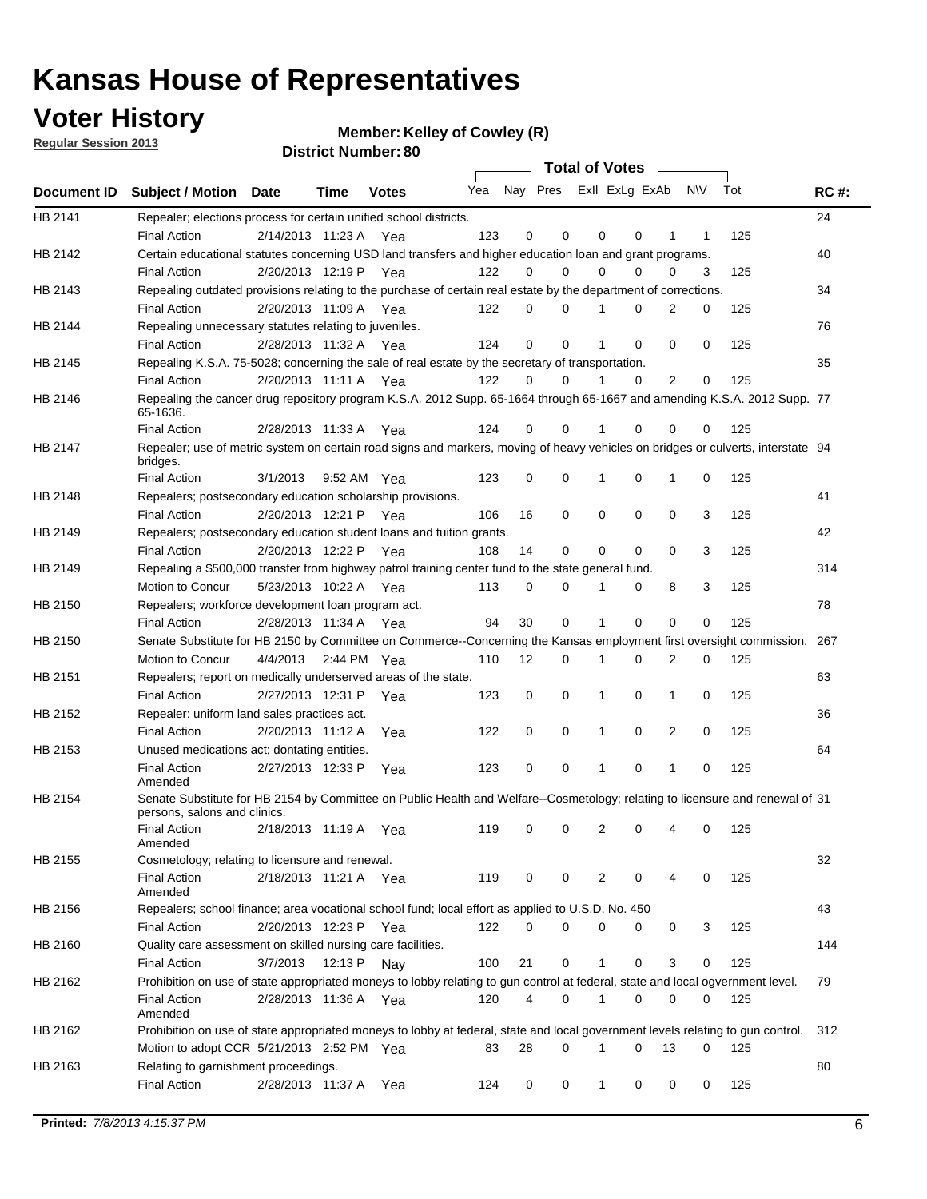## **Voter History**

**Member: Kelley of Cowley (R)** 

**Regular Session 2013**

|             |                                                                                                                                                                                                 |          |                       |              |                             |                | Total of Votes |          |             |                |     |     |             |
|-------------|-------------------------------------------------------------------------------------------------------------------------------------------------------------------------------------------------|----------|-----------------------|--------------|-----------------------------|----------------|----------------|----------|-------------|----------------|-----|-----|-------------|
| Document ID | <b>Subject / Motion Date</b>                                                                                                                                                                    |          | Time                  | <b>Votes</b> | Yea Nay Pres ExII ExLg ExAb |                |                |          |             |                | N\V | Tot | <b>RC#:</b> |
| HB 2141     | Repealer; elections process for certain unified school districts.<br><b>Final Action</b>                                                                                                        |          | 2/14/2013 11:23 A Yea |              | 123                         | 0              | $\mathbf 0$    | 0        | 0           | 1              | 1   | 125 | 24          |
| HB 2142     | Certain educational statutes concerning USD land transfers and higher education loan and grant programs.<br><b>Final Action</b>                                                                 |          | 2/20/2013 12:19 P Yea |              | 122                         | 0              | 0              | $\Omega$ | $\Omega$    | 0              | 3   | 125 | 40          |
| HB 2143     | Repealing outdated provisions relating to the purchase of certain real estate by the department of corrections.<br><b>Final Action</b>                                                          |          | 2/20/2013 11:09 A Yea |              |                             | 0              | 0              |          | $\Omega$    | $\overline{2}$ | 0   | 125 | 34          |
| HB 2144     | Repealing unnecessary statutes relating to juveniles.                                                                                                                                           |          |                       |              | 122                         |                |                |          |             |                |     |     | 76          |
| HB 2145     | <b>Final Action</b><br>Repealing K.S.A. 75-5028; concerning the sale of real estate by the secretary of transportation.                                                                         |          | 2/28/2013 11:32 A Yea |              | 124                         | 0              | $\Omega$       |          | $\Omega$    | $\Omega$       | 0   | 125 | 35          |
| HB 2146     | <b>Final Action</b><br>Repealing the cancer drug repository program K.S.A. 2012 Supp. 65-1664 through 65-1667 and amending K.S.A. 2012 Supp. 77<br>65-1636.                                     |          | 2/20/2013 11:11 A Yea |              | 122                         | 0              | 0              | 1        | $\Omega$    | $\overline{2}$ | 0   | 125 |             |
| HB 2147     | <b>Final Action</b><br>Repealer; use of metric system on certain road signs and markers, moving of heavy vehicles on bridges or culverts, interstate 94<br>bridges.                             |          | 2/28/2013 11:33 A     | Yea          | 124                         | 0              | 0              |          | 0           | 0              | 0   | 125 |             |
| HB 2148     | <b>Final Action</b><br>Repealers; postsecondary education scholarship provisions.                                                                                                               | 3/1/2013 |                       | 9:52 AM Yea  | 123                         | 0              | 0              |          | 0           | 1              | 0   | 125 | 41          |
| HB 2149     | <b>Final Action</b><br>Repealers; postsecondary education student loans and tuition grants.                                                                                                     |          | 2/20/2013 12:21 P     | Yea          | 106                         | 16             | 0              | 0        | $\mathbf 0$ | 0              | 3   | 125 | 42          |
| HB 2149     | <b>Final Action</b><br>Repealing a \$500,000 transfer from highway patrol training center fund to the state general fund.                                                                       |          | 2/20/2013 12:22 P     | Yea          | 108                         | 14             | $\mathbf 0$    | 0        | 0           | 0              | 3   | 125 | 314         |
| HB 2150     | Motion to Concur<br>Repealers; workforce development loan program act.                                                                                                                          |          | 5/23/2013 10:22 A Yea |              | 113                         | 0              | 0              | 1        | 0           | 8              | 3   | 125 | 78          |
| HB 2150     | <b>Final Action</b><br>Senate Substitute for HB 2150 by Committee on Commerce--Concerning the Kansas employment first oversight commission.                                                     |          | 2/28/2013 11:34 A     | Yea          | 94                          | 30             | $\mathbf 0$    | 1        | $\mathbf 0$ | 0              | 0   | 125 | 267         |
| HB 2151     | Motion to Concur<br>Repealers; report on medically underserved areas of the state.                                                                                                              |          | 4/4/2013 2:44 PM Yea  |              | 110                         | 12             | 0              | 1        | 0           | 2              | 0   | 125 | 63          |
| HB 2152     | <b>Final Action</b><br>Repealer: uniform land sales practices act.                                                                                                                              |          | 2/27/2013 12:31 P     | Yea          | 123                         | 0              | 0              | 1        | 0           | $\mathbf{1}$   | 0   | 125 | 36          |
| HB 2153     | <b>Final Action</b><br>Unused medications act; dontating entities.                                                                                                                              |          | 2/20/2013 11:12 A     | Yea          | 122                         | 0              | 0              | 1        | 0           | 2              | 0   | 125 | 64          |
|             | <b>Final Action</b><br>Amended                                                                                                                                                                  |          | 2/27/2013 12:33 P     | Yea          | 123                         | 0              | $\mathbf 0$    |          | 0           | 1              | 0   | 125 |             |
| HB 2154     | Senate Substitute for HB 2154 by Committee on Public Health and Welfare--Cosmetology; relating to licensure and renewal of 31<br>persons, salons and clinics.<br><b>Final Action</b><br>Amended |          | 2/18/2013 11:19 A     | Yea          | 119                         | 0              | 0              | 2        | 0           |                | 0   | 125 |             |
| HB 2155     | Cosmetology; relating to licensure and renewal.<br><b>Final Action</b>                                                                                                                          |          | 2/18/2013 11:21 A Yea |              | 119                         | 0              | 0              | 2        | 0           | 4              | 0   | 125 | 32          |
| HB 2156     | Amended<br>Repealers; school finance; area vocational school fund; local effort as applied to U.S.D. No. 450<br><b>Final Action</b>                                                             |          | 2/20/2013 12:23 P     | Yea          | 122                         | 0              | 0              | 0        | 0           | 0              | 3   | 125 | 43          |
| HB 2160     | Quality care assessment on skilled nursing care facilities.<br><b>Final Action</b>                                                                                                              | 3/7/2013 | 12:13 P               | Nay          | 100                         | 21             | 0              | 1        | 0           | 3              | 0   | 125 | 144         |
| HB 2162     | Prohibition on use of state appropriated moneys to lobby relating to gun control at federal, state and local ogvernment level.<br><b>Final Action</b><br>Amended                                |          | 2/28/2013 11:36 A Yea |              | 120                         | $\overline{4}$ | 0              | 1        | 0           | 0              | 0   | 125 | 79          |
| HB 2162     | Prohibition on use of state appropriated moneys to lobby at federal, state and local government levels relating to gun control.<br>Motion to adopt CCR 5/21/2013 2:52 PM Yea                    |          |                       |              | 83                          | 28             | $\Omega$       | 1        | 0           | 13             | 0   | 125 | 312         |
| HB 2163     | Relating to garnishment proceedings.<br><b>Final Action</b>                                                                                                                                     |          | 2/28/2013 11:37 A     | Yea          | 124                         | 0              | 0              | 1        | 0           | 0              | 0   | 125 | 80          |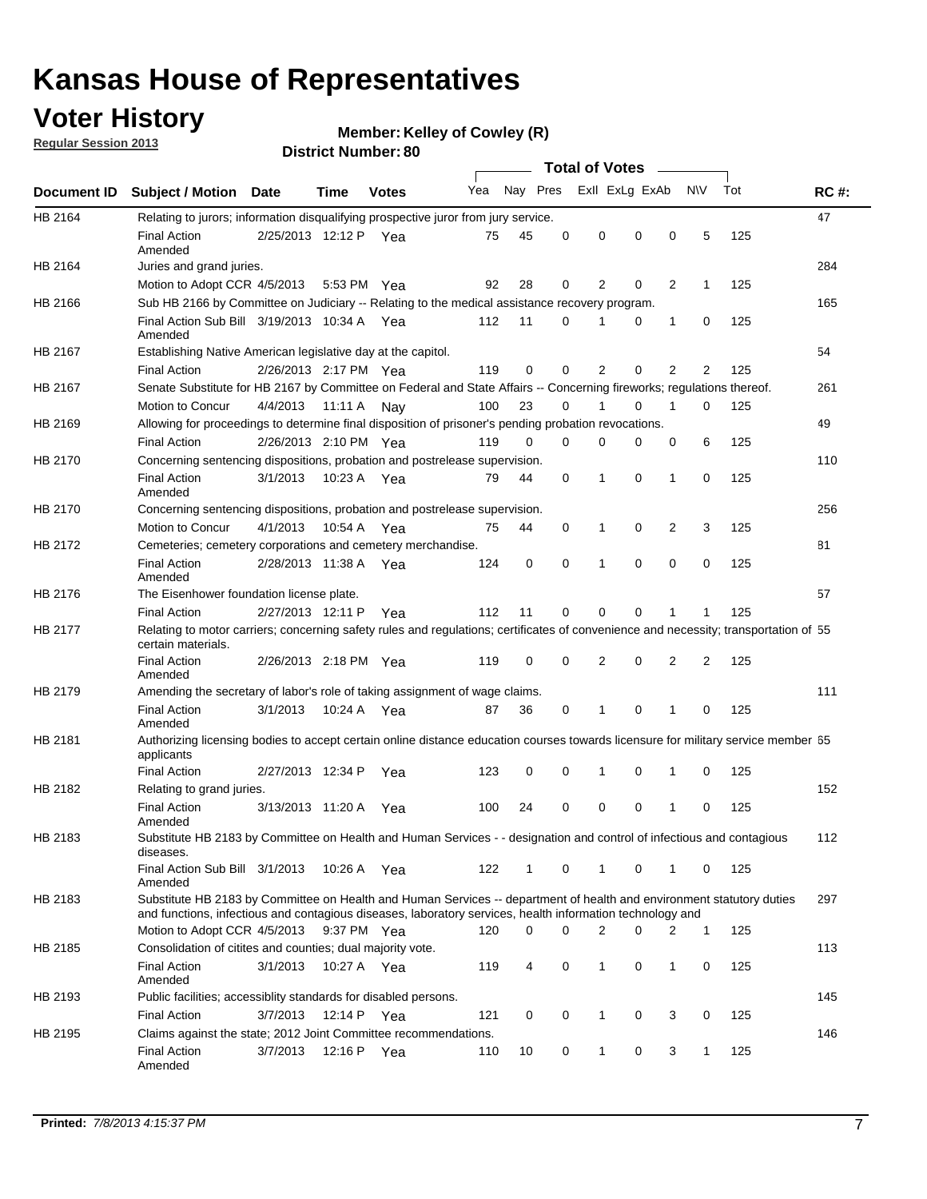## **Voter History**

**Member: Kelley of Cowley (R)** 

**Regular Session 2013**

|             |                                                                                                                                                                                                                                    |                       |             | <b>DISUILLINUIIIDEL.OU</b> |     |              |                  |                |          |                |              |     |             |
|-------------|------------------------------------------------------------------------------------------------------------------------------------------------------------------------------------------------------------------------------------|-----------------------|-------------|----------------------------|-----|--------------|------------------|----------------|----------|----------------|--------------|-----|-------------|
|             |                                                                                                                                                                                                                                    |                       |             |                            | Yea | Nay Pres     | Total of Votes – | Exll ExLg ExAb |          |                | <b>NV</b>    | Tot | <b>RC#:</b> |
| Document ID | <b>Subject / Motion</b>                                                                                                                                                                                                            | <b>Date</b>           | Time        | <b>Votes</b>               |     |              |                  |                |          |                |              |     |             |
| HB 2164     | Relating to jurors; information disqualifying prospective juror from jury service.<br><b>Final Action</b><br>Amended                                                                                                               | 2/25/2013 12:12 P Yea |             |                            | 75  | 45           | 0                | 0              | 0        | 0              | 5            | 125 | 47          |
| HB 2164     | Juries and grand juries.                                                                                                                                                                                                           |                       |             |                            |     |              |                  |                |          |                |              |     | 284         |
|             | Motion to Adopt CCR 4/5/2013                                                                                                                                                                                                       |                       |             | 5:53 PM Yea                | 92  | 28           | 0                | 2              | 0        | 2              | 1            | 125 |             |
| HB 2166     | Sub HB 2166 by Committee on Judiciary -- Relating to the medical assistance recovery program.                                                                                                                                      |                       |             |                            |     |              |                  |                |          |                |              |     | 165         |
|             | Final Action Sub Bill 3/19/2013 10:34 A Yea<br>Amended                                                                                                                                                                             |                       |             |                            | 112 | 11           | 0                | 1              | 0        | 1              | 0            | 125 |             |
| HB 2167     | Establishing Native American legislative day at the capitol.                                                                                                                                                                       |                       |             |                            |     |              |                  |                |          |                |              |     | 54          |
|             | <b>Final Action</b>                                                                                                                                                                                                                | 2/26/2013 2:17 PM Yea |             |                            | 119 | 0            | $\Omega$         | 2              | 0        | $\overline{2}$ | 2            | 125 |             |
| HB 2167     | Senate Substitute for HB 2167 by Committee on Federal and State Affairs -- Concerning fireworks; regulations thereof.                                                                                                              |                       |             |                            |     |              |                  |                |          |                |              |     | 261         |
|             | Motion to Concur                                                                                                                                                                                                                   | 4/4/2013              | 11:11 A Nay |                            | 100 | 23           | $\Omega$         | 1              | 0        | 1              | 0            | 125 |             |
| HB 2169     | Allowing for proceedings to determine final disposition of prisoner's pending probation revocations.                                                                                                                               |                       |             |                            |     |              |                  |                |          |                |              |     | 49          |
|             | <b>Final Action</b>                                                                                                                                                                                                                | 2/26/2013 2:10 PM Yea |             |                            | 119 | 0            | $\Omega$         | 0              | 0        | 0              | 6            | 125 |             |
| HB 2170     | Concerning sentencing dispositions, probation and postrelease supervision.                                                                                                                                                         |                       |             |                            |     |              |                  |                |          |                |              |     | 110         |
|             | <b>Final Action</b><br>Amended                                                                                                                                                                                                     | 3/1/2013              |             | 10:23 A Yea                | 79  | 44           | 0                | 1              | 0        | 1              | 0            | 125 |             |
| HB 2170     | Concerning sentencing dispositions, probation and postrelease supervision.                                                                                                                                                         |                       |             |                            |     |              |                  |                |          |                |              |     | 256         |
|             | Motion to Concur                                                                                                                                                                                                                   | 4/1/2013              | 10:54 A     | Yea                        | 75  | 44           | 0                | 1              | 0        | $\overline{2}$ | 3            | 125 |             |
| HB 2172     | Cemeteries; cemetery corporations and cemetery merchandise.                                                                                                                                                                        |                       |             |                            |     |              |                  |                |          |                |              |     | 81          |
|             | <b>Final Action</b><br>Amended                                                                                                                                                                                                     | 2/28/2013 11:38 A Yea |             |                            | 124 | 0            | $\Omega$         | 1              | $\Omega$ | $\Omega$       | 0            | 125 |             |
| HB 2176     | The Eisenhower foundation license plate.                                                                                                                                                                                           |                       |             |                            |     |              |                  |                |          |                |              |     | 57          |
|             | <b>Final Action</b>                                                                                                                                                                                                                | 2/27/2013 12:11 P     |             | Yea                        | 112 | 11           | 0                | 0              | 0        | 1              | 1            | 125 |             |
| HB 2177     | Relating to motor carriers; concerning safety rules and regulations; certificates of convenience and necessity; transportation of 55<br>certain materials.                                                                         |                       |             |                            |     |              |                  |                |          |                |              |     |             |
|             | <b>Final Action</b><br>Amended                                                                                                                                                                                                     | 2/26/2013 2:18 PM Yea |             |                            | 119 | 0            | $\Omega$         | $\overline{2}$ | 0        | $\overline{2}$ | 2            | 125 |             |
| HB 2179     | Amending the secretary of labor's role of taking assignment of wage claims.                                                                                                                                                        |                       |             |                            |     |              |                  |                |          |                |              |     | 111         |
|             | <b>Final Action</b><br>Amended                                                                                                                                                                                                     | 3/1/2013              |             | 10:24 A Yea                | 87  | 36           | 0                | 1              | 0        | 1              | 0            | 125 |             |
| HB 2181     | Authorizing licensing bodies to accept certain online distance education courses towards licensure for military service member 55<br>applicants                                                                                    |                       |             |                            |     |              |                  |                |          |                |              |     |             |
|             | <b>Final Action</b>                                                                                                                                                                                                                | 2/27/2013 12:34 P     |             | Yea                        | 123 | 0            | 0                | 1              | 0        | 1              | 0            | 125 |             |
| HB 2182     | Relating to grand juries.                                                                                                                                                                                                          |                       |             |                            |     |              |                  |                |          |                |              |     | 152         |
|             | <b>Final Action</b><br>Amended                                                                                                                                                                                                     | 3/13/2013 11:20 A     |             | Yea                        | 100 | 24           | 0                | 0              | 0        | 1              | 0            | 125 |             |
| HB 2183     | Substitute HB 2183 by Committee on Health and Human Services - - designation and control of infectious and contagious<br>diseases.                                                                                                 |                       |             |                            |     |              |                  |                |          |                |              |     | 112         |
|             | Final Action Sub Bill 3/1/2013<br>Amended                                                                                                                                                                                          |                       |             | 10:26 A Yea                | 122 | $\mathbf{1}$ | 0                | $\mathbf{1}$   | 0        | $\mathbf 1$    | 0            | 125 |             |
| HB 2183     | Substitute HB 2183 by Committee on Health and Human Services -- department of health and environment statutory duties<br>and functions, infectious and contagious diseases, laboratory services, health information technology and |                       |             |                            |     |              |                  |                |          |                |              |     | 297         |
|             | Motion to Adopt CCR 4/5/2013                                                                                                                                                                                                       |                       |             | 9:37 PM Yea                | 120 | 0            | 0                | 2              | 0        | 2              | $\mathbf{1}$ | 125 |             |
| HB 2185     | Consolidation of citites and counties; dual majority vote.<br><b>Final Action</b>                                                                                                                                                  | 3/1/2013              |             | 10:27 A Yea                | 119 | 4            | 0                | $\mathbf{1}$   | 0        | 1              | 0            | 125 | 113         |
| HB 2193     | Amended<br>Public facilities; accessiblity standards for disabled persons.                                                                                                                                                         |                       |             |                            |     |              |                  |                |          |                |              |     | 145         |
|             |                                                                                                                                                                                                                                    | 3/7/2013              |             | 12:14 P Yea                | 121 | 0            | 0                | 1              | 0        | 3              | 0            | 125 |             |
|             | <b>Final Action</b>                                                                                                                                                                                                                |                       |             |                            |     |              |                  |                |          |                |              |     | 146         |
| HB 2195     | Claims against the state; 2012 Joint Committee recommendations.<br><b>Final Action</b><br>Amended                                                                                                                                  | 3/7/2013              |             | 12:16 P Yea                | 110 | 10           | 0                | 1              | 0        | 3              | 1            | 125 |             |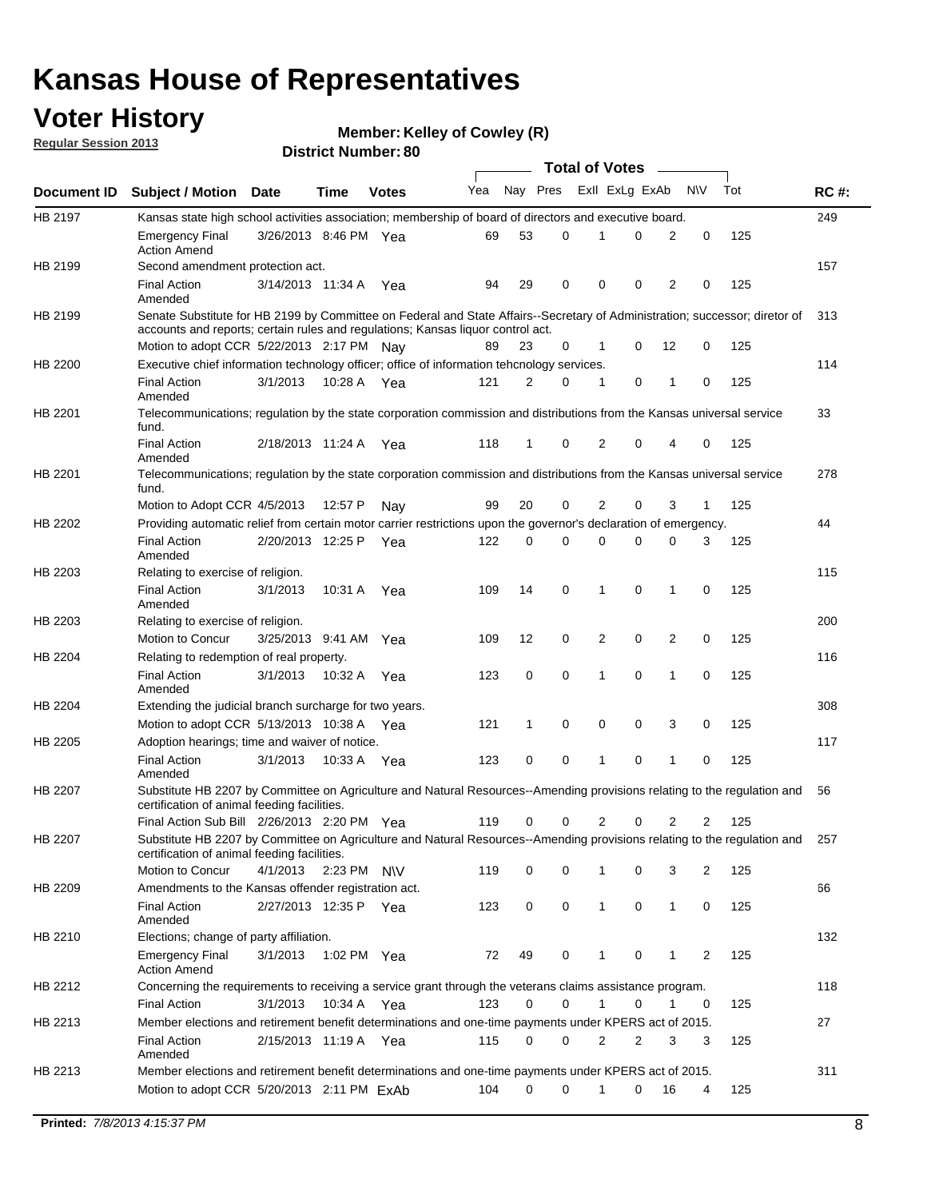## **Voter History**

**Member: Kelley of Cowley (R)** 

**Regular Session 2013**

|             |                                                                                                                                                                                                                |                       |             |              |     |             |             | <b>Total of Votes</b> |   |                |              |     |             |
|-------------|----------------------------------------------------------------------------------------------------------------------------------------------------------------------------------------------------------------|-----------------------|-------------|--------------|-----|-------------|-------------|-----------------------|---|----------------|--------------|-----|-------------|
| Document ID | <b>Subject / Motion Date</b>                                                                                                                                                                                   |                       | Time        | <b>Votes</b> | Yea | Nay Pres    |             | Exll ExLg ExAb        |   |                | <b>NV</b>    | Tot | <b>RC#:</b> |
| HB 2197     | Kansas state high school activities association; membership of board of directors and executive board.                                                                                                         |                       |             |              |     |             |             |                       |   |                |              |     | 249         |
|             | <b>Emergency Final</b><br><b>Action Amend</b>                                                                                                                                                                  | 3/26/2013 8:46 PM Yea |             |              | 69  | 53          | 0           |                       | 0 | 2              | 0            | 125 |             |
| HB 2199     | Second amendment protection act.                                                                                                                                                                               |                       |             |              |     |             |             |                       |   |                |              |     | 157         |
|             | <b>Final Action</b><br>Amended                                                                                                                                                                                 | 3/14/2013 11:34 A     |             | Yea          | 94  | 29          | 0           | 0                     | 0 | 2              | 0            | 125 |             |
| HB 2199     | Senate Substitute for HB 2199 by Committee on Federal and State Affairs--Secretary of Administration; successor; diretor of<br>accounts and reports; certain rules and regulations; Kansas liquor control act. |                       |             |              |     |             |             |                       |   |                |              |     | 313         |
|             | Motion to adopt CCR 5/22/2013 2:17 PM Nav                                                                                                                                                                      |                       |             |              | 89  | 23          | 0           | 1                     | 0 | 12             | 0            | 125 |             |
| HB 2200     | Executive chief information technology officer; office of information tehcnology services.                                                                                                                     |                       |             |              |     |             |             |                       |   |                |              |     | 114         |
|             | <b>Final Action</b><br>Amended                                                                                                                                                                                 | 3/1/2013              | 10:28 A     | Yea          | 121 | 2           | 0           | 1                     | 0 | 1              | 0            | 125 |             |
| HB 2201     | Telecommunications; regulation by the state corporation commission and distributions from the Kansas universal service<br>fund.                                                                                |                       |             |              |     |             |             |                       |   |                |              |     | 33          |
|             | <b>Final Action</b><br>Amended                                                                                                                                                                                 | 2/18/2013 11:24 A     |             | Yea          | 118 | 1           | 0           | 2                     | 0 | 4              | 0            | 125 |             |
| HB 2201     | Telecommunications; regulation by the state corporation commission and distributions from the Kansas universal service<br>fund.                                                                                |                       |             |              |     |             |             |                       |   |                |              |     | 278         |
|             | Motion to Adopt CCR 4/5/2013                                                                                                                                                                                   |                       | 12:57 P     | Nav          | 99  | 20          | 0           | 2                     | 0 | 3              | $\mathbf{1}$ | 125 |             |
| HB 2202     | Providing automatic relief from certain motor carrier restrictions upon the governor's declaration of emergency.                                                                                               |                       |             |              |     |             |             |                       |   |                |              |     | 44          |
|             | <b>Final Action</b><br>Amended                                                                                                                                                                                 | 2/20/2013 12:25 P     |             | Yea          | 122 | 0           | 0           | 0                     | 0 | 0              | 3            | 125 |             |
| HB 2203     | Relating to exercise of religion.                                                                                                                                                                              |                       |             |              |     |             |             |                       |   |                |              |     | 115         |
|             | <b>Final Action</b><br>Amended                                                                                                                                                                                 | 3/1/2013              | 10:31 A     | Yea          | 109 | 14          | 0           | 1                     | 0 | 1              | 0            | 125 |             |
| HB 2203     | Relating to exercise of religion.                                                                                                                                                                              |                       |             |              |     |             |             |                       |   |                |              |     | 200         |
|             | Motion to Concur                                                                                                                                                                                               | 3/25/2013 9:41 AM     |             | Yea          | 109 | 12          | 0           | 2                     | 0 | 2              | 0            | 125 |             |
| HB 2204     | Relating to redemption of real property.                                                                                                                                                                       |                       |             |              |     |             |             |                       |   |                |              |     | 116         |
|             | <b>Final Action</b><br>Amended                                                                                                                                                                                 | 3/1/2013              | 10:32 A     | Yea          | 123 | $\mathbf 0$ | 0           | 1                     | 0 | $\mathbf{1}$   | 0            | 125 |             |
| HB 2204     | Extending the judicial branch surcharge for two years.                                                                                                                                                         |                       |             |              |     |             |             |                       |   |                |              |     | 308         |
|             | Motion to adopt CCR 5/13/2013 10:38 A Yea                                                                                                                                                                      |                       |             |              | 121 | 1           | 0           | 0                     | 0 | 3              | 0            | 125 |             |
| HB 2205     | Adoption hearings; time and waiver of notice.                                                                                                                                                                  |                       |             |              |     |             |             |                       |   |                |              |     | 117         |
|             | <b>Final Action</b><br>Amended                                                                                                                                                                                 | 3/1/2013              | 10:33 A Yea |              | 123 | 0           | 0           | 1                     | 0 | 1              | 0            | 125 |             |
| HB 2207     | Substitute HB 2207 by Committee on Agriculture and Natural Resources--Amending provisions relating to the regulation and<br>certification of animal feeding facilities.                                        |                       |             |              |     |             |             |                       |   |                |              |     | 56          |
|             | Final Action Sub Bill 2/26/2013 2:20 PM Yea                                                                                                                                                                    |                       |             |              | 119 | 0           | 0           | 2                     | 0 | $\overline{2}$ | 2            | 125 |             |
| HB 2207     | Substitute HB 2207 by Committee on Agriculture and Natural Resources--Amending provisions relating to the regulation and 257<br>certification of animal feeding facilities.                                    |                       |             |              |     |             |             |                       |   |                |              |     |             |
|             | Motion to Concur                                                                                                                                                                                               | 4/1/2013              | 2:23 PM N\V |              | 119 | 0           | 0           | 1                     | 0 | 3              | 2            | 125 |             |
| HB 2209     | Amendments to the Kansas offender registration act.                                                                                                                                                            |                       |             |              |     |             |             |                       |   |                |              |     | 66          |
|             | <b>Final Action</b><br>Amended                                                                                                                                                                                 | 2/27/2013 12:35 P Yea |             |              | 123 | 0           | $\mathbf 0$ | $\mathbf{1}$          | 0 | $\mathbf{1}$   | 0            | 125 |             |
| HB 2210     | Elections; change of party affiliation.                                                                                                                                                                        |                       |             |              |     |             |             |                       |   |                |              |     | 132         |
|             | <b>Emergency Final</b><br><b>Action Amend</b>                                                                                                                                                                  | 3/1/2013              | 1:02 PM Yea |              | 72  | 49          | 0           |                       | 0 | 1              | 2            | 125 |             |
| HB 2212     | Concerning the requirements to receiving a service grant through the veterans claims assistance program.                                                                                                       |                       |             |              |     |             |             |                       |   |                |              |     | 118         |
|             | <b>Final Action</b>                                                                                                                                                                                            | 3/1/2013              | 10:34 A Yea |              | 123 | 0           | 0           | $\mathbf{1}$          | 0 | 1              | 0            | 125 |             |
| HB 2213     | Member elections and retirement benefit determinations and one-time payments under KPERS act of 2015.                                                                                                          |                       |             |              |     |             |             |                       |   |                |              |     | 27          |
|             | <b>Final Action</b><br>Amended                                                                                                                                                                                 | 2/15/2013 11:19 A Yea |             |              | 115 | 0           | 0           | 2                     | 2 | 3              | 3            | 125 |             |
| HB 2213     | Member elections and retirement benefit determinations and one-time payments under KPERS act of 2015.<br>Motion to adopt CCR 5/20/2013 2:11 PM ExAb                                                            |                       |             |              | 104 | $\Omega$    | $\Omega$    | $\mathbf{1}$          | 0 | 16             | 4            | 125 | 311         |
|             |                                                                                                                                                                                                                |                       |             |              |     |             |             |                       |   |                |              |     |             |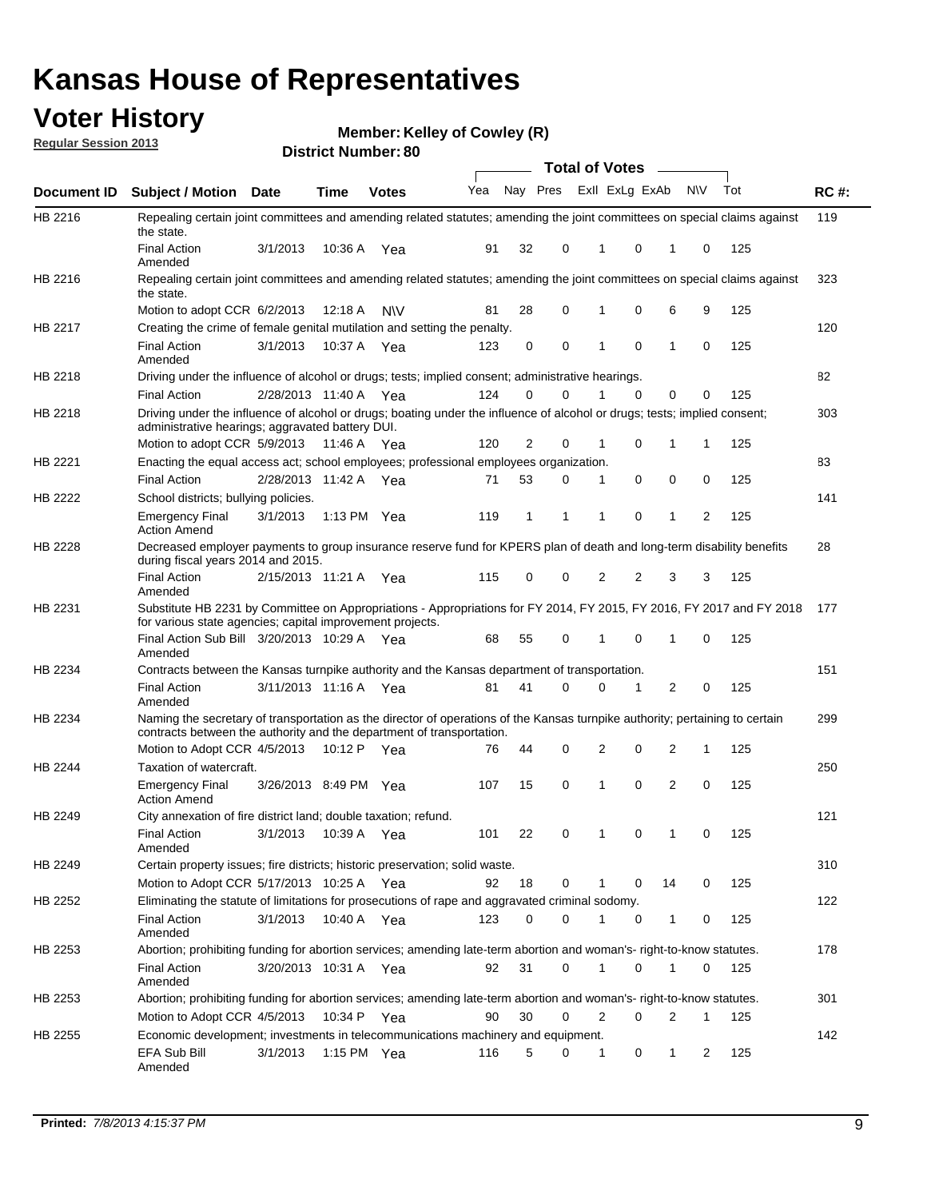## **Voter History**

**Member: Kelley of Cowley (R)** 

**Regular Session 2013**

|                |                                                                                                                                                                                                       |                       |             | <b>DISUILLINUIIIDEL.OU</b> |     |    |          | Total of Votes –                 |    |     |     |             |
|----------------|-------------------------------------------------------------------------------------------------------------------------------------------------------------------------------------------------------|-----------------------|-------------|----------------------------|-----|----|----------|----------------------------------|----|-----|-----|-------------|
| Document ID    | <b>Subject / Motion</b>                                                                                                                                                                               | Date                  | <b>Time</b> | <b>Votes</b>               | Yea |    | Nay Pres | Exll ExLg ExAb                   |    | N\V | Tot | <b>RC#:</b> |
| HB 2216        | Repealing certain joint committees and amending related statutes; amending the joint committees on special claims against<br>the state.                                                               |                       |             |                            |     |    |          |                                  |    |     |     | 119         |
|                | <b>Final Action</b><br>Amended                                                                                                                                                                        | 3/1/2013              | 10:36 A     | Yea                        | 91  | 32 | 0        | 0<br>1                           | 1  | 0   | 125 |             |
| HB 2216        | Repealing certain joint committees and amending related statutes; amending the joint committees on special claims against<br>the state.                                                               |                       |             |                            |     |    |          |                                  |    |     |     | 323         |
|                | Motion to adopt CCR 6/2/2013                                                                                                                                                                          |                       | 12:18 A     | <b>NV</b>                  | 81  | 28 | 0        | 0<br>1                           | 6  | 9   | 125 |             |
| HB 2217        | Creating the crime of female genital mutilation and setting the penalty.                                                                                                                              |                       |             |                            |     |    |          |                                  |    |     |     | 120         |
|                | <b>Final Action</b><br>Amended                                                                                                                                                                        | 3/1/2013              |             | 10:37 A Yea                | 123 |    | 0<br>0   | $\mathbf 0$<br>1                 | 1  | 0   | 125 |             |
| HB 2218        | Driving under the influence of alcohol or drugs; tests; implied consent; administrative hearings.                                                                                                     |                       |             |                            |     |    |          |                                  |    |     |     | 82          |
|                | <b>Final Action</b>                                                                                                                                                                                   | 2/28/2013 11:40 A     |             | Yea                        | 124 |    | 0<br>0   | $\Omega$                         | 0  | 0   | 125 |             |
| HB 2218        | Driving under the influence of alcohol or drugs; boating under the influence of alcohol or drugs; tests; implied consent;<br>administrative hearings; aggravated battery DUI.                         |                       |             |                            |     |    |          |                                  |    |     |     | 303         |
|                | Motion to adopt CCR 5/9/2013                                                                                                                                                                          |                       | 11:46 A     | Yea                        | 120 |    | 2<br>0   | 1<br>0                           | 1  | 1   | 125 |             |
| HB 2221        | Enacting the equal access act; school employees; professional employees organization.                                                                                                                 |                       |             |                            |     |    |          |                                  |    |     |     | 83          |
|                | <b>Final Action</b>                                                                                                                                                                                   | 2/28/2013 11:42 A     |             | Yea                        | 71  | 53 | 0        | 0<br>1                           | 0  | 0   | 125 |             |
| <b>HB 2222</b> | School districts; bullying policies.<br><b>Emergency Final</b>                                                                                                                                        | 3/1/2013              |             | 1:13 PM $Yea$              | 119 |    | 1<br>1   | 0<br>1                           | 1  | 2   | 125 | 141         |
| HB 2228        | <b>Action Amend</b><br>Decreased employer payments to group insurance reserve fund for KPERS plan of death and long-term disability benefits<br>during fiscal years 2014 and 2015.                    |                       |             |                            |     |    |          |                                  |    |     |     | 28          |
|                | <b>Final Action</b><br>Amended                                                                                                                                                                        | 2/15/2013 11:21 A Yea |             |                            | 115 |    | 0<br>0   | $\overline{2}$<br>$\overline{2}$ | 3  | 3   | 125 |             |
| HB 2231        | Substitute HB 2231 by Committee on Appropriations - Appropriations for FY 2014, FY 2015, FY 2016, FY 2017 and FY 2018<br>for various state agencies; capital improvement projects.                    |                       |             |                            |     |    |          |                                  |    |     |     | 177         |
|                | Final Action Sub Bill 3/20/2013 10:29 A<br>Amended                                                                                                                                                    |                       |             | Yea                        | 68  | 55 | 0        | 0<br>1                           | 1  | 0   | 125 |             |
| HB 2234        | Contracts between the Kansas turnpike authority and the Kansas department of transportation.                                                                                                          |                       |             |                            |     |    |          |                                  |    |     |     | 151         |
|                | <b>Final Action</b><br>Amended                                                                                                                                                                        | 3/11/2013 11:16 A Yea |             |                            | 81  | 41 | $\Omega$ | $\Omega$<br>$\mathbf 1$          | 2  | 0   | 125 |             |
| HB 2234        | Naming the secretary of transportation as the director of operations of the Kansas turnpike authority; pertaining to certain<br>contracts between the authority and the department of transportation. |                       |             |                            |     |    |          |                                  |    |     |     | 299         |
|                | Motion to Adopt CCR 4/5/2013                                                                                                                                                                          |                       | 10:12 P     | Yea                        | 76  | 44 | 0        | $\overline{2}$<br>0              | 2  | 1   | 125 |             |
| HB 2244        | Taxation of watercraft.                                                                                                                                                                               |                       |             |                            |     |    |          |                                  |    |     |     | 250         |
|                | <b>Emergency Final</b><br><b>Action Amend</b>                                                                                                                                                         | 3/26/2013 8:49 PM Yea |             |                            | 107 | 15 | 0        | 0<br>1                           | 2  | 0   | 125 |             |
| HB 2249        | City annexation of fire district land; double taxation; refund.                                                                                                                                       |                       |             |                            |     |    |          |                                  |    |     |     | 121         |
|                | Final Action 3/1/2013 10:39 A Yea<br>Amended                                                                                                                                                          |                       |             |                            | 101 | 22 | 0        | $\mathbf 0$                      |    |     | 125 |             |
| HB 2249        | Certain property issues; fire districts; historic preservation; solid waste.                                                                                                                          |                       |             |                            |     |    |          |                                  |    |     |     | 310         |
|                | Motion to Adopt CCR 5/17/2013 10:25 A Yea                                                                                                                                                             |                       |             |                            | 92  | 18 | 0        | 0<br>1                           | 14 | 0   | 125 |             |
| HB 2252        | Eliminating the statute of limitations for prosecutions of rape and aggravated criminal sodomy.                                                                                                       |                       |             |                            |     |    |          |                                  |    |     |     | 122         |
|                | <b>Final Action</b><br>Amended                                                                                                                                                                        | 3/1/2013              |             | 10:40 A Yea                | 123 |    | 0<br>0   | 0                                | 1  | 0   | 125 |             |
| HB 2253        | Abortion; prohibiting funding for abortion services; amending late-term abortion and woman's- right-to-know statutes.                                                                                 |                       |             |                            |     |    |          |                                  |    |     |     | 178         |
|                | <b>Final Action</b><br>Amended                                                                                                                                                                        | 3/20/2013 10:31 A Yea |             |                            | 92  | 31 | 0        | 1<br>0                           | 1  | 0   | 125 |             |
| HB 2253        | Abortion; prohibiting funding for abortion services; amending late-term abortion and woman's- right-to-know statutes.                                                                                 |                       |             |                            |     |    |          |                                  |    |     |     | 301         |
|                | Motion to Adopt CCR 4/5/2013                                                                                                                                                                          |                       | 10:34 P     | Yea                        | 90  | 30 | 0        | 2<br>0                           | 2  | 1   | 125 |             |
| HB 2255        | Economic development; investments in telecommunications machinery and equipment.                                                                                                                      |                       |             |                            |     |    |          |                                  |    |     |     | 142         |
|                | EFA Sub Bill<br>Amended                                                                                                                                                                               | 3/1/2013              |             | 1:15 PM Yea                | 116 |    | 5<br>0   | 0<br>1                           | 1  | 2   | 125 |             |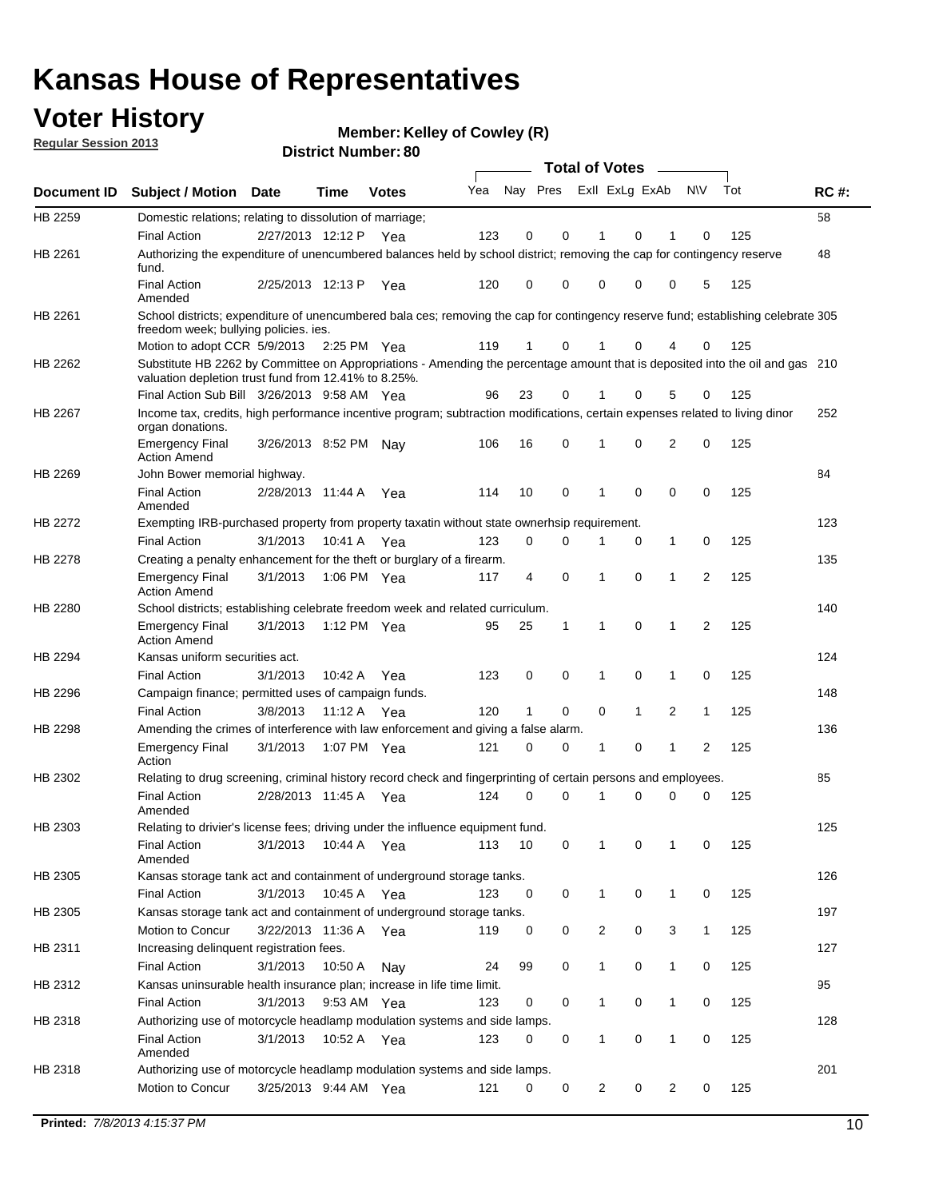## **Voter History**

**Member: Kelley of Cowley (R)** 

**Regular Session 2013**

|             |                                                                                                                                                                                       |                       |             |              |     |                         |              | <b>Total of Votes</b> |              | $\sim$         |                |     |             |
|-------------|---------------------------------------------------------------------------------------------------------------------------------------------------------------------------------------|-----------------------|-------------|--------------|-----|-------------------------|--------------|-----------------------|--------------|----------------|----------------|-----|-------------|
| Document ID | <b>Subject / Motion</b>                                                                                                                                                               | Date                  | <b>Time</b> | <b>Votes</b> | Yea | Nay Pres ExII ExLg ExAb |              |                       |              |                | N\V            | Tot | <b>RC#:</b> |
| HB 2259     | Domestic relations; relating to dissolution of marriage;                                                                                                                              |                       |             |              |     |                         |              |                       |              |                |                |     | 58          |
|             | <b>Final Action</b>                                                                                                                                                                   | 2/27/2013 12:12 P Yea |             |              | 123 | $\mathbf 0$             | 0            | 1                     | $\Omega$     | 1              | 0              | 125 |             |
| HB 2261     | Authorizing the expenditure of unencumbered balances held by school district; removing the cap for contingency reserve<br>fund.                                                       |                       |             |              |     |                         |              |                       |              |                |                |     | 48          |
|             | <b>Final Action</b><br>Amended                                                                                                                                                        | 2/25/2013 12:13 P     |             | Yea          | 120 | 0                       | 0            | 0                     | 0            | 0              | 5              | 125 |             |
| HB 2261     | School districts; expenditure of unencumbered bala ces; removing the cap for contingency reserve fund; establishing celebrate 305<br>freedom week; bullying policies, ies.            |                       |             |              |     |                         |              |                       |              |                |                |     |             |
|             | Motion to adopt CCR 5/9/2013                                                                                                                                                          |                       | 2:25 PM Yea |              | 119 | $\mathbf{1}$            | 0            | 1                     | 0            | 4              | 0              | 125 |             |
| HB 2262     | Substitute HB 2262 by Committee on Appropriations - Amending the percentage amount that is deposited into the oil and gas 210<br>valuation depletion trust fund from 12.41% to 8.25%. |                       |             |              |     |                         |              |                       |              |                |                |     |             |
|             | Final Action Sub Bill 3/26/2013 9:58 AM Yea                                                                                                                                           |                       |             |              | 96  | 23                      | 0            |                       | 0            | 5              | 0              | 125 |             |
| HB 2267     | Income tax, credits, high performance incentive program; subtraction modifications, certain expenses related to living dinor<br>organ donations.                                      |                       |             |              |     |                         |              |                       |              |                |                |     | 252         |
|             | <b>Emergency Final</b><br><b>Action Amend</b>                                                                                                                                         | 3/26/2013 8:52 PM     |             | Nav          | 106 | 16                      | 0            | 1                     | 0            | 2              | 0              | 125 |             |
| HB 2269     | John Bower memorial highway.                                                                                                                                                          |                       |             |              |     |                         |              |                       |              |                |                |     | 84          |
|             | <b>Final Action</b><br>Amended                                                                                                                                                        | 2/28/2013 11:44 A     |             | Yea          | 114 | 10                      | $\mathbf 0$  | 1                     | $\mathbf 0$  | 0              | $\mathbf 0$    | 125 |             |
| HB 2272     | Exempting IRB-purchased property from property taxatin without state ownerhsip requirement.                                                                                           |                       |             |              |     |                         |              |                       |              |                |                |     | 123         |
|             | <b>Final Action</b>                                                                                                                                                                   | 3/1/2013              | 10:41 A     | Yea          | 123 | 0                       | 0            | 1                     | 0            | 1              | 0              | 125 |             |
| HB 2278     | Creating a penalty enhancement for the theft or burglary of a firearm.                                                                                                                |                       |             |              |     |                         |              |                       |              |                |                |     | 135         |
|             | <b>Emergency Final</b><br><b>Action Amend</b>                                                                                                                                         | 3/1/2013              | 1:06 PM Yea |              | 117 | 4                       | 0            | 1                     | 0            | 1              | $\overline{2}$ | 125 |             |
| HB 2280     | School districts; establishing celebrate freedom week and related curriculum.                                                                                                         |                       |             |              |     |                         |              |                       |              |                |                |     | 140         |
|             | <b>Emergency Final</b><br><b>Action Amend</b>                                                                                                                                         | 3/1/2013              | 1:12 PM Yea |              | 95  | 25                      | $\mathbf{1}$ | $\mathbf{1}$          | 0            | 1              | 2              | 125 |             |
| HB 2294     | Kansas uniform securities act.                                                                                                                                                        |                       |             |              |     |                         |              |                       |              |                |                |     | 124         |
|             | <b>Final Action</b>                                                                                                                                                                   | 3/1/2013              | 10:42 A Yea |              | 123 | 0                       | 0            | 1                     | 0            | 1              | 0              | 125 |             |
| HB 2296     | Campaign finance; permitted uses of campaign funds.                                                                                                                                   |                       |             |              |     |                         |              |                       |              |                |                |     | 148         |
|             | <b>Final Action</b>                                                                                                                                                                   | 3/8/2013              | 11:12 A Yea |              | 120 | $\mathbf{1}$            | 0            | 0                     | $\mathbf{1}$ | $\overline{2}$ | $\mathbf{1}$   | 125 |             |
| HB 2298     | Amending the crimes of interference with law enforcement and giving a false alarm.                                                                                                    |                       |             |              |     |                         |              |                       |              |                |                |     | 136         |
|             | <b>Emergency Final</b><br>Action                                                                                                                                                      | 3/1/2013              | 1:07 PM Yea |              | 121 | 0                       | 0            | 1                     | 0            | 1              | 2              | 125 |             |
| HB 2302     | Relating to drug screening, criminal history record check and fingerprinting of certain persons and employees.                                                                        |                       |             |              |     |                         |              |                       |              |                |                |     | 85          |
|             | <b>Final Action</b><br>Amended                                                                                                                                                        | 2/28/2013 11:45 A     |             | Yea          | 124 | 0                       | 0            | 1                     | 0            | 0              | 0              | 125 |             |
| HB 2303     | Relating to drivier's license fees; driving under the influence equipment fund.                                                                                                       |                       |             |              |     |                         |              |                       |              |                |                |     | 125         |
|             | <b>Final Action</b><br>Amended                                                                                                                                                        | 3/1/2013              | 10:44 A     | Yea          | 113 | 10                      | 0            | 1                     | 0            | 1              | 0              | 125 |             |
| HB 2305     | Kansas storage tank act and containment of underground storage tanks.                                                                                                                 |                       |             |              |     |                         |              |                       |              |                |                |     | 126         |
|             | <b>Final Action</b>                                                                                                                                                                   | 3/1/2013              | 10:45 A     | Yea          | 123 | 0                       | 0            | $\mathbf{1}$          | 0            | 1              | 0              | 125 |             |
| HB 2305     | Kansas storage tank act and containment of underground storage tanks.                                                                                                                 |                       |             |              |     |                         |              |                       |              |                |                |     | 197         |
|             | Motion to Concur                                                                                                                                                                      | 3/22/2013 11:36 A     |             | Yea          | 119 | 0                       | 0            | 2                     | 0            | 3              | $\mathbf{1}$   | 125 |             |
| HB 2311     | Increasing delinquent registration fees.                                                                                                                                              |                       |             |              |     |                         |              |                       |              |                |                |     | 127         |
|             | <b>Final Action</b>                                                                                                                                                                   | 3/1/2013              | 10:50 A     | Nay          | 24  | 99                      | 0            | $\mathbf{1}$          | 0            | 1              | 0              | 125 |             |
| HB 2312     | Kansas uninsurable health insurance plan; increase in life time limit.                                                                                                                |                       |             |              |     |                         |              |                       |              |                |                |     | 95          |
|             | <b>Final Action</b>                                                                                                                                                                   | 3/1/2013              | 9:53 AM Yea |              | 123 | 0                       | 0            | $\mathbf{1}$          | 0            | 1              | 0              | 125 |             |
| HB 2318     | Authorizing use of motorcycle headlamp modulation systems and side lamps.                                                                                                             |                       |             |              |     |                         |              |                       |              |                |                |     | 128         |
|             | <b>Final Action</b><br>Amended                                                                                                                                                        | 3/1/2013              | 10:52 A Yea |              | 123 | 0                       | 0            | 1                     | 0            | 1              | 0              | 125 |             |
| HB 2318     | Authorizing use of motorcycle headlamp modulation systems and side lamps.                                                                                                             |                       |             |              |     |                         |              |                       |              |                |                |     | 201         |
|             | Motion to Concur                                                                                                                                                                      | 3/25/2013 9:44 AM Yea |             |              | 121 | 0                       | 0            | $\overline{2}$        | 0            | 2              | 0              | 125 |             |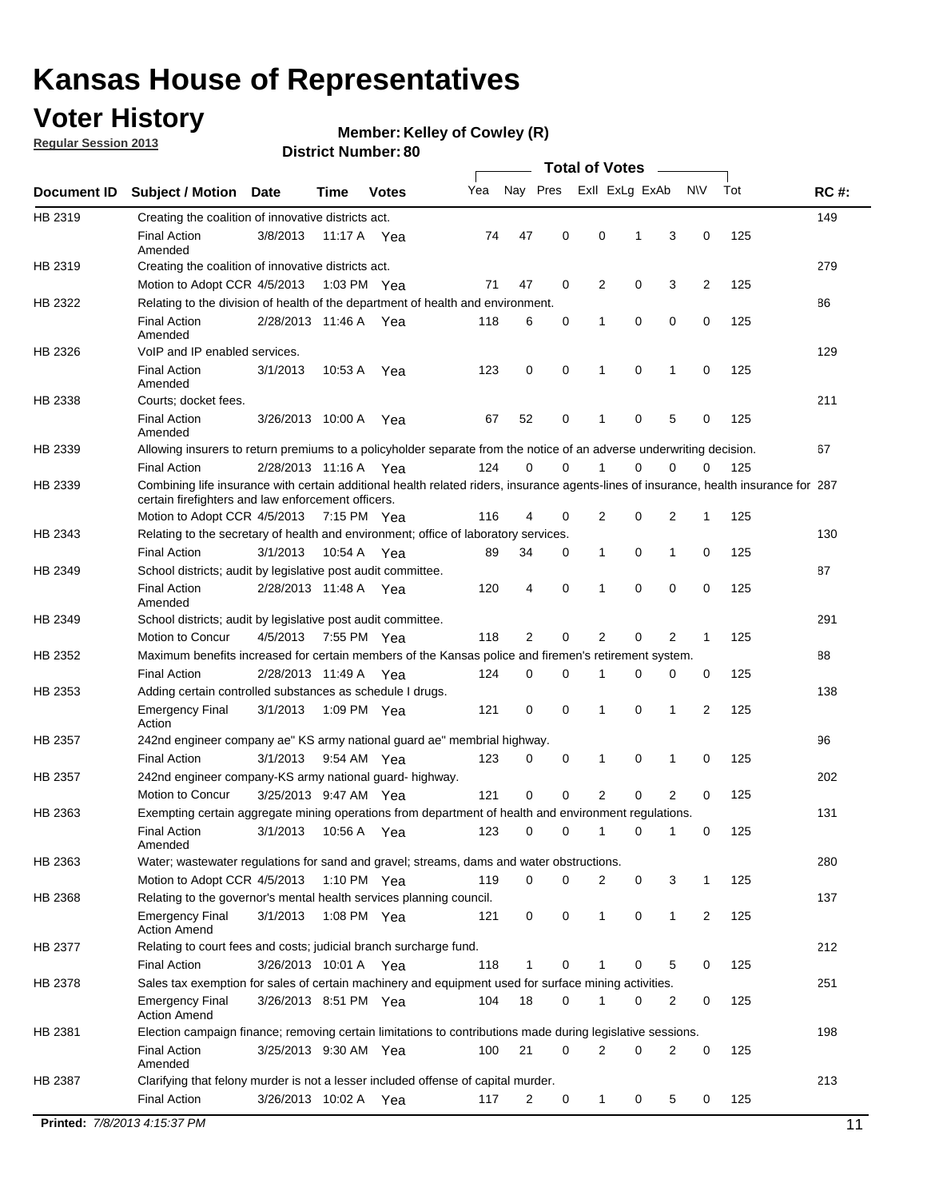## **Voter History**

**Member: Kelley of Cowley (R)** 

**Regular Session 2013**

|             |                                                                                                                                                                                             |                       |         |               |     |             |             | <b>Total of Votes</b> |          |                |             |     |             |
|-------------|---------------------------------------------------------------------------------------------------------------------------------------------------------------------------------------------|-----------------------|---------|---------------|-----|-------------|-------------|-----------------------|----------|----------------|-------------|-----|-------------|
| Document ID | <b>Subject / Motion Date</b>                                                                                                                                                                |                       | Time    | <b>Votes</b>  | Yea | Nay Pres    |             | Exll ExLg ExAb        |          |                | <b>NV</b>   | Tot | <b>RC#:</b> |
| HB 2319     | Creating the coalition of innovative districts act.                                                                                                                                         |                       |         |               |     |             |             |                       |          |                |             |     | 149         |
|             | <b>Final Action</b><br>Amended                                                                                                                                                              | 3/8/2013              | 11:17 A | Yea           | 74  | 47          | 0           | 0                     | 1        | 3              | 0           | 125 |             |
| HB 2319     | Creating the coalition of innovative districts act.                                                                                                                                         |                       |         |               |     |             |             |                       |          |                |             |     | 279         |
|             | Motion to Adopt CCR 4/5/2013                                                                                                                                                                |                       |         | 1:03 PM Yea   | 71  | 47          | 0           | $\overline{2}$        | 0        | 3              | 2           | 125 |             |
| HB 2322     | Relating to the division of health of the department of health and environment.                                                                                                             |                       |         |               |     |             |             |                       |          |                |             |     | 86          |
|             | <b>Final Action</b><br>Amended                                                                                                                                                              | 2/28/2013 11:46 A Yea |         |               | 118 | 6           | 0           | 1                     | 0        | 0              | 0           | 125 |             |
| HB 2326     | VoIP and IP enabled services.                                                                                                                                                               |                       |         |               |     |             |             |                       |          |                |             |     | 129         |
|             | <b>Final Action</b><br>Amended                                                                                                                                                              | 3/1/2013              | 10.53 A | Yea           | 123 | 0           | $\mathbf 0$ | $\mathbf{1}$          | 0        | 1              | 0           | 125 |             |
| HB 2338     | Courts; docket fees.                                                                                                                                                                        |                       |         |               |     |             |             |                       |          |                |             |     | 211         |
|             | <b>Final Action</b><br>Amended                                                                                                                                                              | 3/26/2013 10:00 A     |         | Yea           | 67  | 52          | 0           | $\mathbf 1$           | 0        | 5              | 0           | 125 |             |
| HB 2339     | Allowing insurers to return premiums to a policyholder separate from the notice of an adverse underwriting decision.                                                                        |                       |         |               |     |             |             |                       |          |                |             |     | 67          |
|             | <b>Final Action</b>                                                                                                                                                                         | 2/28/2013 11:16 A Yea |         |               | 124 | 0           | 0           | 1                     | 0        | 0              | 0           | 125 |             |
| HB 2339     | Combining life insurance with certain additional health related riders, insurance agents-lines of insurance, health insurance for 287<br>certain firefighters and law enforcement officers. |                       |         |               |     |             |             |                       |          |                |             |     |             |
|             | Motion to Adopt CCR 4/5/2013 7:15 PM Yea                                                                                                                                                    |                       |         |               | 116 | 4           | 0           | 2                     | 0        | 2              | 1           | 125 |             |
| HB 2343     | Relating to the secretary of health and environment; office of laboratory services.                                                                                                         |                       |         |               |     |             |             |                       |          |                |             |     | 130         |
|             | <b>Final Action</b>                                                                                                                                                                         | 3/1/2013              |         | 10:54 A Yea   | 89  | 34          | 0           | $\mathbf{1}$          | 0        | 1              | 0           | 125 |             |
| HB 2349     | School districts; audit by legislative post audit committee.                                                                                                                                |                       |         |               |     |             |             |                       |          |                |             |     | 87          |
|             | <b>Final Action</b><br>Amended                                                                                                                                                              | 2/28/2013 11:48 A Yea |         |               | 120 | 4           | $\mathbf 0$ | 1                     | $\Omega$ | 0              | 0           | 125 |             |
| HB 2349     | School districts; audit by legislative post audit committee.                                                                                                                                |                       |         |               |     |             |             |                       |          |                |             |     | 291         |
|             | Motion to Concur                                                                                                                                                                            | 4/5/2013              |         | 7:55 PM Yea   | 118 | 2           | 0           | 2                     | 0        | 2              | $\mathbf 1$ | 125 |             |
| HB 2352     | Maximum benefits increased for certain members of the Kansas police and firemen's retirement system.                                                                                        |                       |         |               |     |             |             |                       |          |                |             |     | 88          |
|             | <b>Final Action</b>                                                                                                                                                                         | 2/28/2013 11:49 A     |         | Yea           | 124 | 0           | 0           | 1                     | 0        | 0              | 0           | 125 |             |
| HB 2353     | Adding certain controlled substances as schedule I drugs.                                                                                                                                   |                       |         |               |     |             |             |                       |          |                |             |     | 138         |
|             | <b>Emergency Final</b><br>Action                                                                                                                                                            | 3/1/2013              |         | 1:09 PM Yea   | 121 | 0           | $\mathbf 0$ | 1                     | 0        | 1              | 2           | 125 |             |
| HB 2357     | 242nd engineer company ae" KS army national guard ae" membrial highway.                                                                                                                     |                       |         |               |     |             |             |                       |          |                |             |     | 96          |
|             | <b>Final Action</b>                                                                                                                                                                         | 3/1/2013              |         | 9:54 AM Yea   | 123 | 0           | 0           | 1                     | 0        | 1              | 0           | 125 |             |
| HB 2357     | 242nd engineer company-KS army national guard- highway.                                                                                                                                     |                       |         |               |     |             |             |                       |          |                |             |     | 202         |
|             | Motion to Concur                                                                                                                                                                            | 3/25/2013 9:47 AM Yea |         |               | 121 | $\mathbf 0$ | $\mathbf 0$ | 2                     | 0        | $\overline{2}$ | 0           | 125 |             |
| HB 2363     | Exempting certain aggregate mining operations from department of health and environment regulations.                                                                                        |                       |         |               |     |             |             |                       |          |                |             |     | 131         |
|             | <b>Final Action</b><br>Amended                                                                                                                                                              | 3/1/2013              | 10:56 A | Yea           | 123 | 0           | 0           | 1                     | 0        | 1              | 0           | 125 |             |
| HB 2363     | Water; wastewater regulations for sand and gravel; streams, dams and water obstructions.                                                                                                    |                       |         |               |     |             |             |                       |          |                |             |     | 280         |
|             | Motion to Adopt CCR 4/5/2013                                                                                                                                                                |                       |         | 1:10 PM $Yea$ | 119 | $\mathbf 0$ | 0           | 2                     | 0        | 3              | 1           | 125 |             |
| HB 2368     | Relating to the governor's mental health services planning council.                                                                                                                         |                       |         |               |     |             |             |                       |          |                |             |     | 137         |
|             | <b>Emergency Final</b><br><b>Action Amend</b>                                                                                                                                               | 3/1/2013              |         | 1:08 PM Yea   | 121 | 0           | 0           | $\mathbf{1}$          | 0        | $\mathbf{1}$   | 2           | 125 |             |
| HB 2377     | Relating to court fees and costs; judicial branch surcharge fund.                                                                                                                           |                       |         |               |     |             |             |                       |          |                |             |     | 212         |
|             | <b>Final Action</b>                                                                                                                                                                         | 3/26/2013 10:01 A Yea |         |               | 118 | 1           | 0           |                       | 0        | 5              | 0           | 125 |             |
| HB 2378     | Sales tax exemption for sales of certain machinery and equipment used for surface mining activities.                                                                                        |                       |         |               |     |             |             |                       |          |                |             |     | 251         |
|             | <b>Emergency Final</b><br><b>Action Amend</b>                                                                                                                                               | 3/26/2013 8:51 PM Yea |         |               | 104 | 18          | 0           | 1                     | 0        | 2              | 0           | 125 |             |
| HB 2381     | Election campaign finance; removing certain limitations to contributions made during legislative sessions.                                                                                  |                       |         |               |     |             |             |                       |          |                |             |     | 198         |
|             | <b>Final Action</b>                                                                                                                                                                         | 3/25/2013 9:30 AM Yea |         |               | 100 | 21          | 0           | 2                     | 0        | 2              | 0           | 125 |             |
|             | Amended                                                                                                                                                                                     |                       |         |               |     |             |             |                       |          |                |             |     |             |
| HB 2387     | Clarifying that felony murder is not a lesser included offense of capital murder.                                                                                                           |                       |         |               |     |             |             |                       |          |                |             |     | 213         |
|             |                                                                                                                                                                                             |                       |         |               |     |             |             |                       |          |                |             | 125 |             |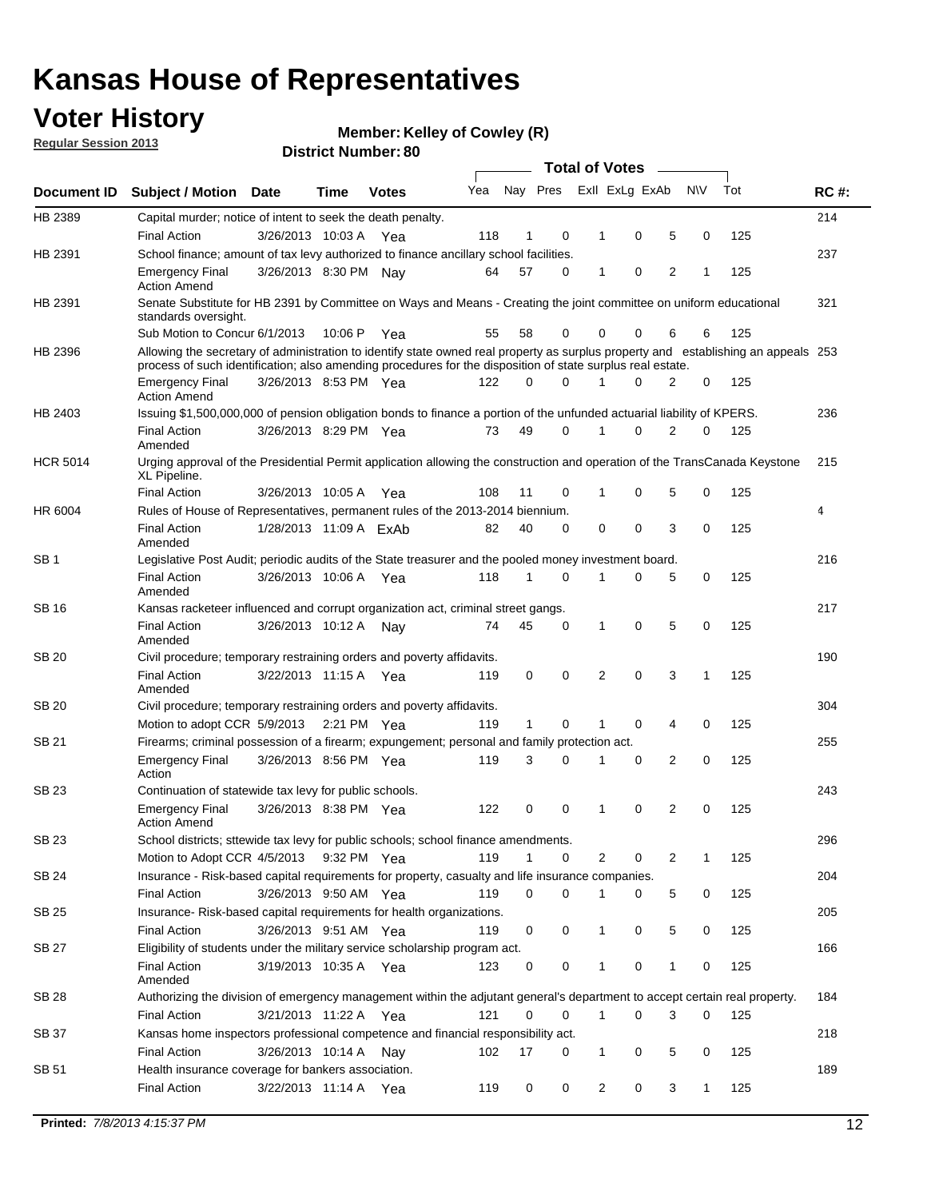## **Voter History**

**Member: Kelley of Cowley (R)** 

**Regular Session 2013**

|                 |                                                                                                                                                                                                                                                  |                        |             |              |     |              |          | <b>Total of Votes</b> |   |   |              |     |             |
|-----------------|--------------------------------------------------------------------------------------------------------------------------------------------------------------------------------------------------------------------------------------------------|------------------------|-------------|--------------|-----|--------------|----------|-----------------------|---|---|--------------|-----|-------------|
| Document ID     | Subject / Motion Date                                                                                                                                                                                                                            |                        | Time        | <b>Votes</b> | Yea | Nay Pres     |          | Exll ExLg ExAb        |   |   | <b>NV</b>    | Tot | <b>RC#:</b> |
| HB 2389         | Capital murder; notice of intent to seek the death penalty.                                                                                                                                                                                      |                        |             |              |     |              |          |                       |   |   |              |     | 214         |
|                 | <b>Final Action</b>                                                                                                                                                                                                                              | 3/26/2013 10:03 A      |             | Yea          | 118 | 1            | 0        | 1                     | 0 | 5 | 0            | 125 |             |
| HB 2391         | School finance; amount of tax levy authorized to finance ancillary school facilities.                                                                                                                                                            |                        |             |              |     |              |          |                       |   |   |              |     | 237         |
|                 | <b>Emergency Final</b><br><b>Action Amend</b>                                                                                                                                                                                                    | 3/26/2013 8:30 PM Nav  |             |              | 64  | 57           | 0        | $\mathbf{1}$          | 0 | 2 | 1            | 125 |             |
| HB 2391         | Senate Substitute for HB 2391 by Committee on Ways and Means - Creating the joint committee on uniform educational<br>standards oversight.                                                                                                       |                        |             |              |     |              |          |                       |   |   |              |     | 321         |
|                 | Sub Motion to Concur 6/1/2013                                                                                                                                                                                                                    |                        | 10:06 P     | Yea          | 55  | 58           | 0        | 0                     | 0 | 6 | 6            | 125 |             |
| HB 2396         | Allowing the secretary of administration to identify state owned real property as surplus property and establishing an appeals 253<br>process of such identification; also amending procedures for the disposition of state surplus real estate. |                        |             |              |     |              |          |                       |   |   |              |     |             |
|                 | <b>Emergency Final</b><br>Action Amend                                                                                                                                                                                                           | 3/26/2013 8:53 PM Yea  |             |              | 122 | 0            | 0        |                       | 0 | 2 | 0            | 125 |             |
| HB 2403         | Issuing \$1,500,000,000 of pension obligation bonds to finance a portion of the unfunded actuarial liability of KPERS.                                                                                                                           |                        |             |              |     |              |          |                       |   |   |              |     | 236         |
|                 | <b>Final Action</b><br>Amended                                                                                                                                                                                                                   | 3/26/2013 8:29 PM Yea  |             |              | 73  | 49           | 0        | 1                     | 0 | 2 | 0            | 125 |             |
| <b>HCR 5014</b> | Urging approval of the Presidential Permit application allowing the construction and operation of the TransCanada Keystone<br>XL Pipeline.                                                                                                       |                        |             |              |     |              |          |                       |   |   |              |     | 215         |
|                 | <b>Final Action</b>                                                                                                                                                                                                                              | 3/26/2013 10:05 A      |             | Yea          | 108 | 11           | 0        |                       | 0 | 5 | 0            | 125 |             |
| HR 6004         | Rules of House of Representatives, permanent rules of the 2013-2014 biennium.                                                                                                                                                                    |                        |             |              |     |              |          |                       |   |   |              |     | 4           |
|                 | <b>Final Action</b><br>Amended                                                                                                                                                                                                                   | 1/28/2013 11:09 A FxAb |             |              | 82  | 40           | 0        | 0                     | 0 | 3 | 0            | 125 |             |
| SB 1            | Legislative Post Audit; periodic audits of the State treasurer and the pooled money investment board.                                                                                                                                            |                        |             |              |     |              |          |                       |   |   |              |     | 216         |
|                 | <b>Final Action</b><br>Amended                                                                                                                                                                                                                   | 3/26/2013 10:06 A      |             | Yea          | 118 | 1            | 0        | 1                     | 0 | 5 | 0            | 125 |             |
| SB 16           | Kansas racketeer influenced and corrupt organization act, criminal street gangs.                                                                                                                                                                 |                        |             |              |     |              |          |                       |   |   |              |     | 217         |
|                 | <b>Final Action</b><br>Amended                                                                                                                                                                                                                   | 3/26/2013 10:12 A Nay  |             |              | 74  | 45           | 0        | 1                     | 0 | 5 | 0            | 125 |             |
| SB 20           | Civil procedure; temporary restraining orders and poverty affidavits.                                                                                                                                                                            |                        |             |              |     |              |          |                       |   |   |              |     | 190         |
|                 | <b>Final Action</b><br>Amended                                                                                                                                                                                                                   | 3/22/2013 11:15 A      |             | Yea          | 119 | 0            | 0        | 2                     | 0 | 3 | $\mathbf{1}$ | 125 |             |
| SB 20           | Civil procedure; temporary restraining orders and poverty affidavits.                                                                                                                                                                            |                        |             |              |     |              |          |                       |   |   |              |     | 304         |
|                 | Motion to adopt CCR 5/9/2013                                                                                                                                                                                                                     |                        | 2:21 PM Yea |              | 119 | $\mathbf{1}$ | 0        | 1                     | 0 | 4 | 0            | 125 |             |
| SB 21           | Firearms; criminal possession of a firearm; expungement; personal and family protection act.                                                                                                                                                     |                        |             |              |     |              |          |                       |   |   |              |     | 255         |
|                 | <b>Emergency Final</b><br>Action                                                                                                                                                                                                                 | 3/26/2013 8:56 PM Yea  |             |              | 119 | 3            | 0        |                       | 0 | 2 | 0            | 125 |             |
| SB 23           | Continuation of statewide tax levy for public schools.                                                                                                                                                                                           |                        |             |              |     |              |          |                       |   |   |              |     | 243         |
|                 | <b>Emergency Final</b><br><b>Action Amend</b>                                                                                                                                                                                                    | 3/26/2013 8:38 PM Yea  |             |              | 122 | 0            | 0        | 1                     | 0 | 2 | 0            | 125 |             |
| <b>SB 23</b>    | School districts; sttewide tax levy for public schools; school finance amendments.                                                                                                                                                               |                        |             |              |     |              |          |                       |   |   |              |     | 296         |
|                 | Motion to Adopt CCR 4/5/2013 9:32 PM Yea                                                                                                                                                                                                         |                        |             |              | 119 | 1            | 0        | 2                     | 0 | 2 | 1            | 125 |             |
| <b>SB 24</b>    | Insurance - Risk-based capital requirements for property, casualty and life insurance companies.                                                                                                                                                 |                        |             |              |     |              |          |                       |   |   |              |     | 204         |
|                 | <b>Final Action</b>                                                                                                                                                                                                                              | 3/26/2013 9:50 AM Yea  |             |              | 119 | 0            | 0        |                       | 0 | 5 | 0            | 125 |             |
| SB 25           | Insurance-Risk-based capital requirements for health organizations.                                                                                                                                                                              |                        |             |              |     |              |          |                       |   |   |              |     | 205         |
|                 | <b>Final Action</b>                                                                                                                                                                                                                              | 3/26/2013 9:51 AM Yea  |             |              | 119 | 0            | 0        | 1                     | 0 | 5 | 0            | 125 |             |
| SB 27           | Eligibility of students under the military service scholarship program act.                                                                                                                                                                      |                        |             |              |     |              |          |                       |   |   |              |     | 166         |
|                 | <b>Final Action</b><br>Amended                                                                                                                                                                                                                   | 3/19/2013 10:35 A Yea  |             |              | 123 | 0            | 0        |                       | 0 | 1 | 0            | 125 |             |
| SB 28           | Authorizing the division of emergency management within the adjutant general's department to accept certain real property.                                                                                                                       |                        |             |              |     |              |          |                       |   |   |              |     | 184         |
|                 | <b>Final Action</b>                                                                                                                                                                                                                              | 3/21/2013 11:22 A Yea  |             |              | 121 | 0            | $\Omega$ | 1                     | 0 | 3 | $\Omega$     | 125 |             |
| SB 37           | Kansas home inspectors professional competence and financial responsibility act.                                                                                                                                                                 |                        |             |              |     |              |          |                       |   |   |              |     | 218         |
|                 | <b>Final Action</b>                                                                                                                                                                                                                              | 3/26/2013 10:14 A Nay  |             |              | 102 | 17           | 0        | 1                     | 0 | 5 | 0            | 125 |             |
| SB 51           | Health insurance coverage for bankers association.                                                                                                                                                                                               |                        |             |              |     |              |          |                       |   |   |              |     | 189         |
|                 | <b>Final Action</b>                                                                                                                                                                                                                              | 3/22/2013 11:14 A Yea  |             |              | 119 | 0            | 0        | 2                     | 0 | 3 | $\mathbf{1}$ | 125 |             |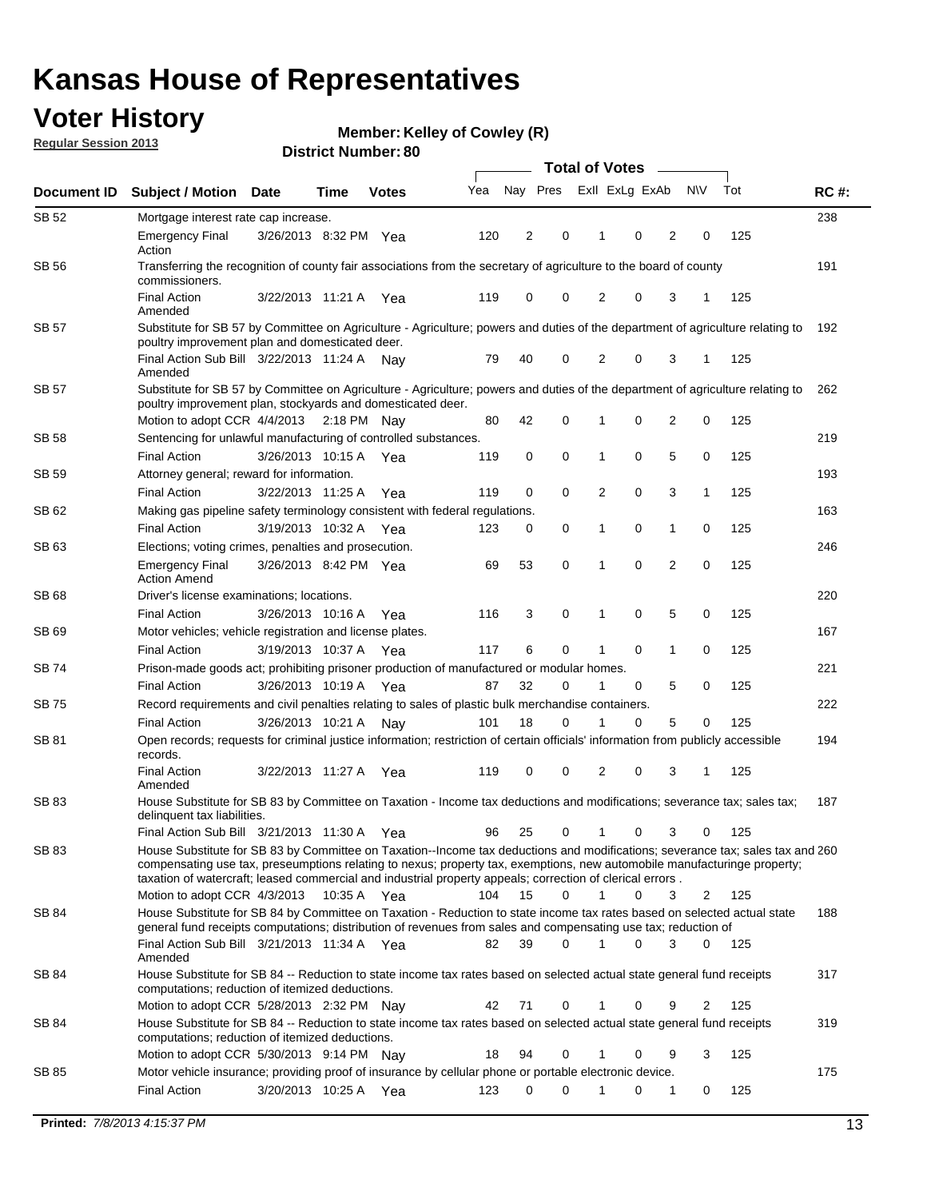## **Voter History**

**Member: Kelley of Cowley (R)** 

**Regular Session 2013**

|              |                                                                                                                                                                                                                                                                                                                                                                                                         |                       |             |              |     | <b>Total of Votes</b> |             |                |   |                |             |     |             |  |
|--------------|---------------------------------------------------------------------------------------------------------------------------------------------------------------------------------------------------------------------------------------------------------------------------------------------------------------------------------------------------------------------------------------------------------|-----------------------|-------------|--------------|-----|-----------------------|-------------|----------------|---|----------------|-------------|-----|-------------|--|
| Document ID  | <b>Subject / Motion Date</b>                                                                                                                                                                                                                                                                                                                                                                            |                       | Time        | <b>Votes</b> | Yea | Nay Pres              |             | Exll ExLg ExAb |   |                | <b>NV</b>   | Tot | <b>RC#:</b> |  |
| SB 52        | Mortgage interest rate cap increase.                                                                                                                                                                                                                                                                                                                                                                    |                       |             |              |     |                       |             |                |   |                |             |     | 238         |  |
|              | <b>Emergency Final</b><br>Action                                                                                                                                                                                                                                                                                                                                                                        | 3/26/2013 8:32 PM Yea |             |              | 120 | 2                     | 0           |                | 0 | 2              | 0           | 125 |             |  |
| SB 56        | Transferring the recognition of county fair associations from the secretary of agriculture to the board of county<br>commissioners.                                                                                                                                                                                                                                                                     |                       |             |              |     |                       |             |                |   |                |             |     | 191         |  |
|              | <b>Final Action</b><br>Amended                                                                                                                                                                                                                                                                                                                                                                          | 3/22/2013 11:21 A     |             | Yea          | 119 | 0                     | 0           | 2              | 0 | 3              | 1           | 125 |             |  |
| SB 57        | Substitute for SB 57 by Committee on Agriculture - Agriculture; powers and duties of the department of agriculture relating to<br>poultry improvement plan and domesticated deer.                                                                                                                                                                                                                       |                       |             |              |     |                       |             |                |   |                |             |     | 192         |  |
|              | Final Action Sub Bill 3/22/2013 11:24 A<br>Amended                                                                                                                                                                                                                                                                                                                                                      |                       |             | Nav          | 79  | 40                    | 0           | 2              | 0 | 3              | 1           | 125 |             |  |
| SB 57        | Substitute for SB 57 by Committee on Agriculture - Agriculture; powers and duties of the department of agriculture relating to<br>poultry improvement plan, stockyards and domesticated deer.<br>Motion to adopt CCR 4/4/2013 2:18 PM Nay                                                                                                                                                               |                       |             |              | 80  | 42                    | 0           | 1              | 0 | 2              | 0           | 125 | 262         |  |
| SB 58        | Sentencing for unlawful manufacturing of controlled substances.                                                                                                                                                                                                                                                                                                                                         |                       |             |              |     |                       |             |                |   |                |             |     | 219         |  |
|              | <b>Final Action</b>                                                                                                                                                                                                                                                                                                                                                                                     | 3/26/2013 10:15 A     |             |              | 119 | 0                     | 0           | 1              | 0 | 5              | 0           | 125 |             |  |
| <b>SB 59</b> | Attorney general; reward for information.                                                                                                                                                                                                                                                                                                                                                               |                       |             | Yea          |     |                       |             |                |   |                |             |     | 193         |  |
|              | <b>Final Action</b>                                                                                                                                                                                                                                                                                                                                                                                     | 3/22/2013 11:25 A     |             |              | 119 | 0                     | 0           | 2              | 0 | 3              | 1           | 125 |             |  |
| SB 62        | Making gas pipeline safety terminology consistent with federal regulations.                                                                                                                                                                                                                                                                                                                             |                       |             | Yea          |     |                       |             |                |   |                |             |     | 163         |  |
|              | <b>Final Action</b>                                                                                                                                                                                                                                                                                                                                                                                     | 3/19/2013 10:32 A     |             |              | 123 | 0                     | 0           | 1              | 0 | 1              | 0           | 125 |             |  |
| SB 63        |                                                                                                                                                                                                                                                                                                                                                                                                         |                       |             | Yea          |     |                       |             |                |   |                |             |     | 246         |  |
|              | Elections; voting crimes, penalties and prosecution.<br><b>Emergency Final</b><br><b>Action Amend</b>                                                                                                                                                                                                                                                                                                   | 3/26/2013 8:42 PM Yea |             |              | 69  | 53                    | $\mathbf 0$ | 1              | 0 | $\overline{2}$ | $\mathbf 0$ | 125 |             |  |
| SB 68        | Driver's license examinations; locations.                                                                                                                                                                                                                                                                                                                                                               |                       |             |              |     |                       |             |                |   |                |             |     | 220         |  |
|              | <b>Final Action</b>                                                                                                                                                                                                                                                                                                                                                                                     | 3/26/2013 10:16 A     |             | Yea          | 116 | 3                     | 0           | 1              | 0 | 5              | 0           | 125 |             |  |
| SB 69        | Motor vehicles; vehicle registration and license plates.                                                                                                                                                                                                                                                                                                                                                |                       |             |              |     |                       |             |                |   |                |             |     | 167         |  |
|              | <b>Final Action</b>                                                                                                                                                                                                                                                                                                                                                                                     | 3/19/2013 10:37 A     |             | Yea          | 117 | 6                     | 0           | 1              | 0 | $\mathbf{1}$   | 0           | 125 |             |  |
| SB 74        | Prison-made goods act; prohibiting prisoner production of manufactured or modular homes.                                                                                                                                                                                                                                                                                                                |                       |             |              |     |                       |             |                |   |                |             |     | 221         |  |
|              | <b>Final Action</b>                                                                                                                                                                                                                                                                                                                                                                                     | 3/26/2013 10:19 A     |             | Yea          | 87  | 32                    | 0           | 1              | 0 | 5              | 0           | 125 |             |  |
| SB 75        | Record requirements and civil penalties relating to sales of plastic bulk merchandise containers.                                                                                                                                                                                                                                                                                                       |                       |             |              |     |                       |             |                |   |                |             |     | 222         |  |
|              | <b>Final Action</b>                                                                                                                                                                                                                                                                                                                                                                                     | 3/26/2013 10:21 A     |             | Nav          | 101 | 18                    | 0           | 1              | 0 | 5              | 0           | 125 |             |  |
| SB 81        | Open records; requests for criminal justice information; restriction of certain officials' information from publicly accessible<br>records.                                                                                                                                                                                                                                                             |                       |             |              |     |                       |             |                |   |                |             |     | 194         |  |
|              | <b>Final Action</b><br>Amended                                                                                                                                                                                                                                                                                                                                                                          | 3/22/2013 11:27 A     |             | Yea          | 119 | 0                     | 0           | 2              | 0 | 3              | 1           | 125 |             |  |
| <b>SB 83</b> | House Substitute for SB 83 by Committee on Taxation - Income tax deductions and modifications; severance tax; sales tax;<br>delinquent tax liabilities.                                                                                                                                                                                                                                                 |                       |             |              |     |                       |             |                |   |                |             |     | 187         |  |
|              | Final Action Sub Bill 3/21/2013 11:30 A Yea                                                                                                                                                                                                                                                                                                                                                             |                       |             |              | 96  | 25                    | 0           | 1              | 0 | 3              | 0           | 125 |             |  |
| SB 83        | House Substitute for SB 83 by Committee on Taxation--Income tax deductions and modifications; severance tax; sales tax and 260<br>compensating use tax, preseumptions relating to nexus; property tax, exemptions, new automobile manufacturinge property;<br>taxation of watercraft; leased commercial and industrial property appeals; correction of clerical errors.<br>Motion to adopt CCR 4/3/2013 |                       |             |              | 104 | 15                    | 0           | $\mathbf{1}$   | 0 | 3              | 2           | 125 |             |  |
| SB 84        | House Substitute for SB 84 by Committee on Taxation - Reduction to state income tax rates based on selected actual state                                                                                                                                                                                                                                                                                |                       | 10:35 A Yea |              |     |                       |             |                |   |                |             |     | 188         |  |
|              | general fund receipts computations; distribution of revenues from sales and compensating use tax; reduction of<br>Final Action Sub Bill 3/21/2013 11:34 A Yea                                                                                                                                                                                                                                           |                       |             |              | 82  | 39                    | $\Omega$    |                | 0 | 3              | $\Omega$    | 125 |             |  |
| SB 84        | Amended<br>House Substitute for SB 84 -- Reduction to state income tax rates based on selected actual state general fund receipts                                                                                                                                                                                                                                                                       |                       |             |              |     |                       |             |                |   |                |             |     | 317         |  |
|              | computations; reduction of itemized deductions.<br>Motion to adopt CCR 5/28/2013 2:32 PM Nav                                                                                                                                                                                                                                                                                                            |                       |             |              | 42  | 71                    | 0           |                | 0 | 9              | 2           | 125 |             |  |
| SB 84        | House Substitute for SB 84 -- Reduction to state income tax rates based on selected actual state general fund receipts                                                                                                                                                                                                                                                                                  |                       |             |              |     |                       |             |                |   |                |             |     | 319         |  |
|              | computations; reduction of itemized deductions.<br>Motion to adopt CCR 5/30/2013 9:14 PM Nay                                                                                                                                                                                                                                                                                                            |                       |             |              | 18  | 94                    | 0           |                | 0 | 9              | 3           | 125 |             |  |
| SB 85        | Motor vehicle insurance; providing proof of insurance by cellular phone or portable electronic device.                                                                                                                                                                                                                                                                                                  |                       |             |              |     |                       |             |                |   |                |             |     | 175         |  |
|              | <b>Final Action</b>                                                                                                                                                                                                                                                                                                                                                                                     | 3/20/2013 10:25 A Yea |             |              | 123 | 0                     | $\Omega$    |                | 0 | 1              | 0           | 125 |             |  |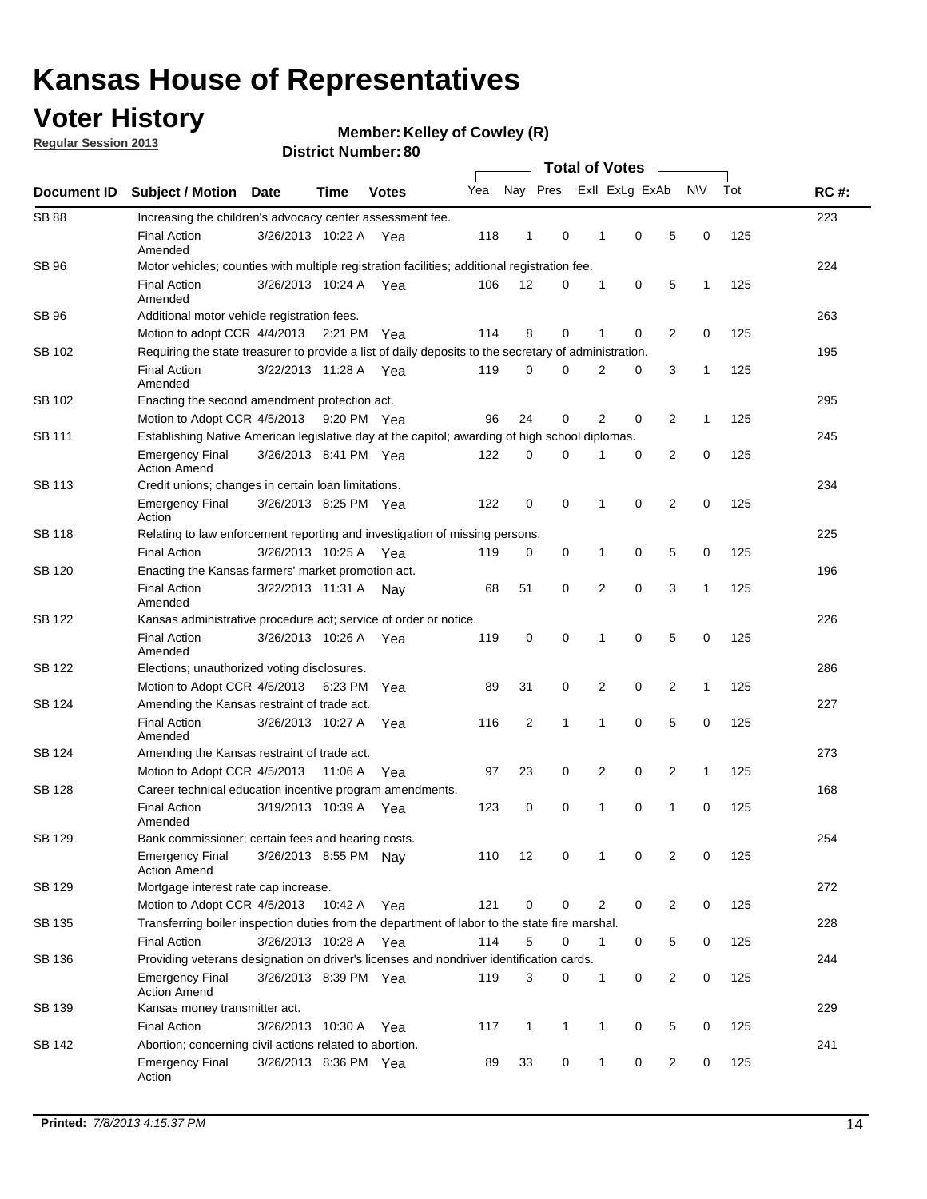## **Voter History**

**Member: Kelley of Cowley (R)** 

**Regular Session 2013**

|              |                                                                                                       | <b>DISTICL MUTTINGL. OU</b>                                                                    |             | <b>Total of Votes</b> |     |                |              |  |   |                |                                |     |             |  |
|--------------|-------------------------------------------------------------------------------------------------------|------------------------------------------------------------------------------------------------|-------------|-----------------------|-----|----------------|--------------|--|---|----------------|--------------------------------|-----|-------------|--|
| Document ID  | <b>Subject / Motion</b>                                                                               | <b>Date</b>                                                                                    | <b>Time</b> | <b>Votes</b>          | Yea |                | Nay Pres     |  |   | Exll ExLg ExAb | <b>NV</b>                      | Tot | <b>RC#:</b> |  |
| <b>SB 88</b> | Increasing the children's advocacy center assessment fee.                                             |                                                                                                |             |                       |     |                |              |  |   |                |                                |     | 223         |  |
|              | <b>Final Action</b><br>Amended                                                                        | 3/26/2013 10:22 A Yea                                                                          |             |                       | 118 | $\mathbf{1}$   | 0            |  | 1 | 0              | 5<br>$\mathbf 0$               | 125 |             |  |
| SB 96        | Motor vehicles; counties with multiple registration facilities; additional registration fee.          |                                                                                                |             |                       |     |                |              |  |   |                |                                |     | 224         |  |
|              | <b>Final Action</b><br>Amended                                                                        | 3/26/2013 10:24 A                                                                              |             | Yea                   | 106 | 12             | $\mathbf 0$  |  | 1 | 0              | 5<br>1                         | 125 |             |  |
| SB 96        | Additional motor vehicle registration fees.                                                           |                                                                                                |             |                       |     |                |              |  |   |                |                                |     | 263         |  |
|              | Motion to adopt CCR 4/4/2013 2:21 PM Yea                                                              |                                                                                                |             |                       | 114 | 8              | $\Omega$     |  | 1 | $\Omega$       | 2<br>0                         | 125 |             |  |
| SB 102       | Requiring the state treasurer to provide a list of daily deposits to the secretary of administration. |                                                                                                |             |                       |     |                |              |  |   |                |                                |     | 195         |  |
|              | <b>Final Action</b><br>Amended                                                                        | 3/22/2013 11:28 A Yea                                                                          |             |                       | 119 | $\mathbf 0$    | 0            |  | 2 | 0              | 3<br>1                         | 125 |             |  |
| SB 102       | Enacting the second amendment protection act.                                                         |                                                                                                |             |                       |     |                |              |  |   |                |                                |     | 295         |  |
|              | Motion to Adopt CCR 4/5/2013                                                                          |                                                                                                |             | 9:20 PM Yea           | 96  | 24             | 0            |  | 2 | 0              | 2<br>$\mathbf{1}$              | 125 |             |  |
| SB 111       |                                                                                                       | Establishing Native American legislative day at the capitol; awarding of high school diplomas. |             |                       |     |                |              |  |   |                |                                |     |             |  |
|              | <b>Emergency Final</b><br><b>Action Amend</b>                                                         | 3/26/2013 8:41 PM Yea                                                                          |             |                       | 122 | 0              | 0            |  |   | 0              | 2<br>0                         | 125 |             |  |
| SB 113       | Credit unions; changes in certain loan limitations.                                                   |                                                                                                |             |                       |     |                |              |  |   |                |                                |     | 234         |  |
|              | <b>Emergency Final</b><br>Action                                                                      | 3/26/2013 8:25 PM Yea                                                                          |             |                       | 122 | 0              | 0            |  | 1 | $\mathbf 0$    | $\overline{2}$<br>$\mathbf 0$  | 125 |             |  |
| SB 118       | Relating to law enforcement reporting and investigation of missing persons.                           |                                                                                                |             |                       |     |                |              |  |   |                |                                |     | 225         |  |
|              | <b>Final Action</b>                                                                                   | 3/26/2013 10:25 A                                                                              |             | Yea                   | 119 | 0              | 0            |  | 1 | 0              | 5<br>0                         | 125 |             |  |
| SB 120       | Enacting the Kansas farmers' market promotion act.                                                    |                                                                                                |             |                       |     |                |              |  |   |                |                                |     | 196         |  |
|              | <b>Final Action</b><br>Amended                                                                        | 3/22/2013 11:31 A Nav                                                                          |             |                       | 68  | 51             | 0            |  | 2 | 0              | 3<br>1                         | 125 |             |  |
| SB 122       | Kansas administrative procedure act; service of order or notice.                                      |                                                                                                |             |                       |     |                |              |  |   |                |                                |     | 226         |  |
|              | <b>Final Action</b><br>Amended                                                                        | 3/26/2013 10:26 A Yea                                                                          |             |                       | 119 | 0              | $\Omega$     |  | 1 | 0              | 5<br>0                         | 125 |             |  |
| SB 122       | Elections; unauthorized voting disclosures.                                                           |                                                                                                |             |                       |     |                |              |  |   |                |                                |     | 286         |  |
|              | Motion to Adopt CCR 4/5/2013                                                                          |                                                                                                |             | 6:23 PM Yea           | 89  | 31             | 0            |  | 2 | 0              | $\overline{2}$<br>$\mathbf{1}$ | 125 |             |  |
| SB 124       | Amending the Kansas restraint of trade act.                                                           |                                                                                                |             |                       |     |                |              |  |   |                |                                |     | 227         |  |
|              | <b>Final Action</b><br>Amended                                                                        | 3/26/2013 10:27 A                                                                              |             | Yea                   | 116 | $\overline{2}$ | 1            |  | 1 | $\mathbf 0$    | 5<br>$\mathbf 0$               | 125 |             |  |
| SB 124       | Amending the Kansas restraint of trade act.                                                           |                                                                                                |             |                       |     |                |              |  |   |                |                                |     | 273         |  |
|              | Motion to Adopt CCR 4/5/2013                                                                          |                                                                                                | 11:06 A     | Yea                   | 97  | 23             | 0            |  | 2 | 0              | 2<br>$\mathbf{1}$              | 125 |             |  |
| SB 128       | Career technical education incentive program amendments.                                              |                                                                                                |             |                       |     |                |              |  |   |                |                                |     | 168         |  |
|              | <b>Final Action</b><br>Amended                                                                        | 3/19/2013 10:39 A                                                                              |             | Yea                   | 123 | 0              | 0            |  | 1 | 0              | 1<br>0                         | 125 |             |  |
| SB 129       | Bank commissioner; certain fees and hearing costs.                                                    |                                                                                                |             |                       |     |                |              |  |   |                |                                |     | 254         |  |
|              | <b>Emergency Final</b><br><b>Action Amend</b>                                                         | 3/26/2013 8:55 PM Nav                                                                          |             |                       | 110 | 12             | 0            |  | 1 | 0              | 2<br>0                         | 125 |             |  |
| SB 129       | Mortgage interest rate cap increase.                                                                  |                                                                                                |             |                       |     |                |              |  |   |                |                                |     | 272         |  |
|              | Motion to Adopt CCR 4/5/2013                                                                          |                                                                                                | 10:42 A Yea |                       | 121 | 0              | 0            |  | 2 | 0              | 2<br>0                         | 125 |             |  |
| SB 135       | Transferring boiler inspection duties from the department of labor to the state fire marshal.         |                                                                                                |             |                       |     |                |              |  |   |                |                                |     | 228         |  |
|              | <b>Final Action</b>                                                                                   | 3/26/2013 10:28 A Yea                                                                          |             |                       | 114 | 5              | 0            |  | 1 | 0              | 5<br>0                         | 125 |             |  |
| SB 136       | Providing veterans designation on driver's licenses and nondriver identification cards.               |                                                                                                |             |                       |     |                |              |  |   |                |                                |     | 244         |  |
|              | <b>Emergency Final</b><br><b>Action Amend</b>                                                         | 3/26/2013 8:39 PM Yea                                                                          |             |                       | 119 | 3              | 0            |  | 1 | 0              | 2<br>0                         | 125 |             |  |
| SB 139       | Kansas money transmitter act.                                                                         |                                                                                                |             |                       |     |                |              |  |   |                |                                |     | 229         |  |
|              | <b>Final Action</b>                                                                                   | 3/26/2013 10:30 A                                                                              |             | Yea                   | 117 | 1              | $\mathbf{1}$ |  | 1 | 0              | 5<br>0                         | 125 |             |  |
| SB 142       | Abortion; concerning civil actions related to abortion.                                               |                                                                                                |             |                       |     |                |              |  |   |                |                                |     | 241         |  |
|              | <b>Emergency Final</b><br>Action                                                                      | 3/26/2013 8:36 PM Yea                                                                          |             |                       | 89  | 33             | 0            |  | 1 | 0              | 2<br>0                         | 125 |             |  |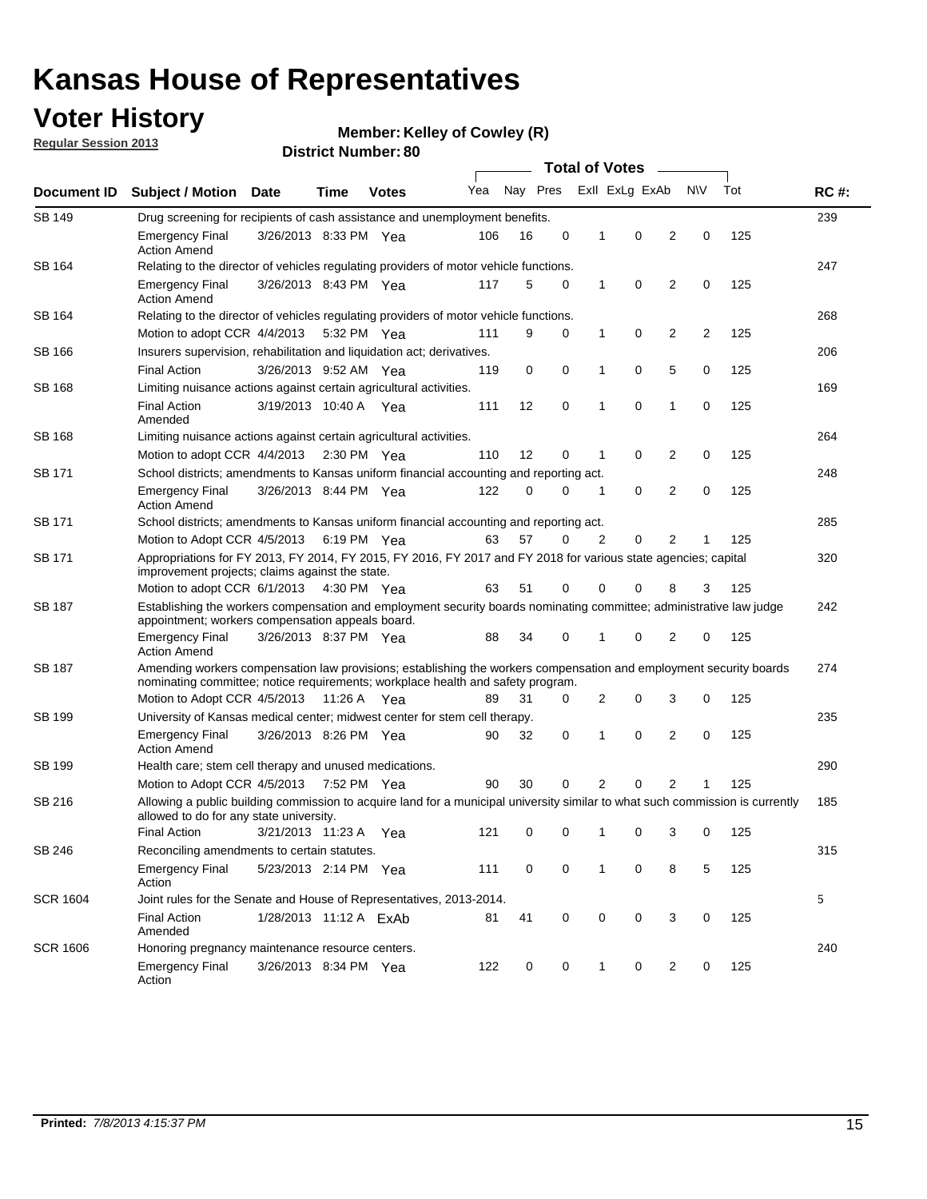## **Voter History**

**Member: Kelley of Cowley (R)** 

**Regular Session 2013**

|                 |                                                                                                                                                                                                       |                                                                                                 |             |                       | <b>Total of Votes</b><br>$\sim$ |          |          |                |                |                |           |     |             |
|-----------------|-------------------------------------------------------------------------------------------------------------------------------------------------------------------------------------------------------|-------------------------------------------------------------------------------------------------|-------------|-----------------------|---------------------------------|----------|----------|----------------|----------------|----------------|-----------|-----|-------------|
| Document ID     | <b>Subject / Motion Date</b>                                                                                                                                                                          |                                                                                                 | Time        | <b>Votes</b>          | Yea                             | Nay Pres |          |                | Exll ExLg ExAb |                | <b>NV</b> | Tot | <b>RC#:</b> |
| <b>SB 149</b>   | Drug screening for recipients of cash assistance and unemployment benefits.                                                                                                                           |                                                                                                 |             |                       |                                 |          |          |                |                |                |           |     | 239         |
|                 | <b>Emergency Final</b><br><b>Action Amend</b>                                                                                                                                                         | 3/26/2013 8:33 PM Yea                                                                           |             |                       | 106                             | 16       | 0        | 1              | 0              | 2              | 0         | 125 |             |
| SB 164          | Relating to the director of vehicles regulating providers of motor vehicle functions.                                                                                                                 |                                                                                                 |             |                       |                                 |          |          |                |                |                |           |     | 247         |
|                 | <b>Emergency Final</b><br><b>Action Amend</b>                                                                                                                                                         | 3/26/2013 8:43 PM Yea                                                                           |             |                       | 117                             | 5        | 0        | 1              | 0              | 2              | 0         | 125 |             |
| SB 164          | Relating to the director of vehicles regulating providers of motor vehicle functions.                                                                                                                 |                                                                                                 |             |                       |                                 |          |          |                |                |                |           |     | 268         |
|                 |                                                                                                                                                                                                       | 0<br>Motion to adopt CCR 4/4/2013 5:32 PM Yea<br>9<br>0<br>$\mathbf{1}$<br>2<br>2<br>125<br>111 |             |                       |                                 |          |          |                |                |                |           |     |             |
| SB 166          | Insurers supervision, rehabilitation and liquidation act; derivatives.                                                                                                                                |                                                                                                 |             |                       |                                 |          |          |                |                |                |           |     | 206         |
|                 | <b>Final Action</b>                                                                                                                                                                                   | 3/26/2013 9:52 AM Yea                                                                           |             |                       | 119                             | 0        | 0        | 1              | 0              | 5              | 0         | 125 |             |
| SB 168          | Limiting nuisance actions against certain agricultural activities.                                                                                                                                    |                                                                                                 |             |                       |                                 |          |          |                |                |                |           |     | 169         |
|                 | <b>Final Action</b><br>Amended                                                                                                                                                                        | 3/19/2013 10:40 A Yea                                                                           |             |                       | 111                             | 12       | 0        | 1              | 0              | 1              | 0         | 125 |             |
| SB 168          | Limiting nuisance actions against certain agricultural activities.                                                                                                                                    |                                                                                                 |             |                       |                                 |          |          |                |                |                |           |     | 264         |
|                 | Motion to adopt CCR 4/4/2013                                                                                                                                                                          |                                                                                                 |             | $2:30 \text{ PM}$ Yea | 110                             | 12       | 0        | 1              | 0              | 2              | 0         | 125 |             |
| SB 171          | School districts; amendments to Kansas uniform financial accounting and reporting act.                                                                                                                |                                                                                                 |             |                       |                                 |          |          |                |                |                |           |     | 248         |
|                 | <b>Emergency Final</b><br><b>Action Amend</b>                                                                                                                                                         | 3/26/2013 8:44 PM Yea                                                                           |             |                       | 122                             | 0        | 0        | 1              | 0              | 2              | 0         | 125 |             |
| SB 171          | School districts; amendments to Kansas uniform financial accounting and reporting act.                                                                                                                |                                                                                                 |             |                       |                                 |          |          |                |                |                |           |     | 285         |
|                 | Motion to Adopt CCR 4/5/2013 6:19 PM Yea                                                                                                                                                              |                                                                                                 |             |                       | 63                              | 57       | $\Omega$ | $\overline{2}$ | 0              | $\overline{2}$ | 1         | 125 |             |
| SB 171          | Appropriations for FY 2013, FY 2014, FY 2015, FY 2016, FY 2017 and FY 2018 for various state agencies; capital<br>improvement projects; claims against the state.                                     |                                                                                                 |             |                       |                                 |          |          |                |                |                |           |     | 320         |
|                 | Motion to adopt CCR 6/1/2013 4:30 PM Yea                                                                                                                                                              |                                                                                                 |             |                       | 63                              | 51       | 0        | 0              | 0              | 8              | 3         | 125 |             |
| SB 187          | Establishing the workers compensation and employment security boards nominating committee; administrative law judge<br>appointment; workers compensation appeals board.                               |                                                                                                 |             |                       |                                 |          |          |                |                |                |           |     | 242         |
|                 | <b>Emergency Final</b><br><b>Action Amend</b>                                                                                                                                                         | 3/26/2013 8:37 PM Yea                                                                           |             |                       | 88                              | 34       | 0        |                | 0              | 2              | 0         | 125 |             |
| SB 187          | Amending workers compensation law provisions; establishing the workers compensation and employment security boards<br>nominating committee; notice requirements; workplace health and safety program. |                                                                                                 |             |                       |                                 |          |          |                |                |                |           |     | 274         |
|                 | Motion to Adopt CCR 4/5/2013 11:26 A Yea                                                                                                                                                              |                                                                                                 |             |                       | 89                              | 31       | 0        | 2              | 0              | 3              | 0         | 125 |             |
| SB 199          | University of Kansas medical center; midwest center for stem cell therapy.                                                                                                                            |                                                                                                 |             |                       |                                 |          |          |                |                |                |           |     | 235         |
|                 | Emergency Final<br><b>Action Amend</b>                                                                                                                                                                | 3/26/2013 8:26 PM Yea                                                                           |             |                       | 90                              | 32       | 0        | 1              | 0              | 2              | 0         | 125 |             |
| SB 199          | Health care; stem cell therapy and unused medications.                                                                                                                                                |                                                                                                 |             |                       |                                 |          |          |                |                |                |           |     | 290         |
|                 | Motion to Adopt CCR 4/5/2013                                                                                                                                                                          |                                                                                                 | 7:52 PM Yea |                       | 90                              | 30       | 0        | 2              | 0              | 2              | 1         | 125 |             |
| SB 216          | Allowing a public building commission to acquire land for a municipal university similar to what such commission is currently<br>allowed to do for any state university.                              |                                                                                                 |             |                       |                                 |          |          |                |                |                |           |     | 185         |
|                 | <b>Final Action</b>                                                                                                                                                                                   | 3/21/2013 11:23 A                                                                               |             | Yea                   | 121                             | 0        | 0        | 1              | 0              | 3              | 0         | 125 |             |
| SB 246          | Reconciling amendments to certain statutes.                                                                                                                                                           |                                                                                                 |             |                       |                                 |          |          |                |                |                |           |     | 315         |
|                 | <b>Emergency Final</b><br>Action                                                                                                                                                                      | 5/23/2013 2:14 PM Yea                                                                           |             |                       | 111                             | 0        | 0        | 1              | 0              | 8              | 5         | 125 |             |
| <b>SCR 1604</b> | Joint rules for the Senate and House of Representatives, 2013-2014.                                                                                                                                   |                                                                                                 |             |                       |                                 |          |          |                |                |                |           |     | 5           |
|                 | <b>Final Action</b><br>Amended                                                                                                                                                                        | 1/28/2013 11:12 A ExAb                                                                          |             |                       | 81                              | 41       | 0        | 0              | 0              | 3              | 0         | 125 |             |
| <b>SCR 1606</b> | Honoring pregnancy maintenance resource centers.                                                                                                                                                      |                                                                                                 |             |                       |                                 |          |          |                |                |                |           |     | 240         |
|                 | <b>Emergency Final</b><br>Action                                                                                                                                                                      | 3/26/2013 8:34 PM Yea                                                                           |             |                       | 122                             | 0        | 0        | 1              | 0              | 2              | 0         | 125 |             |